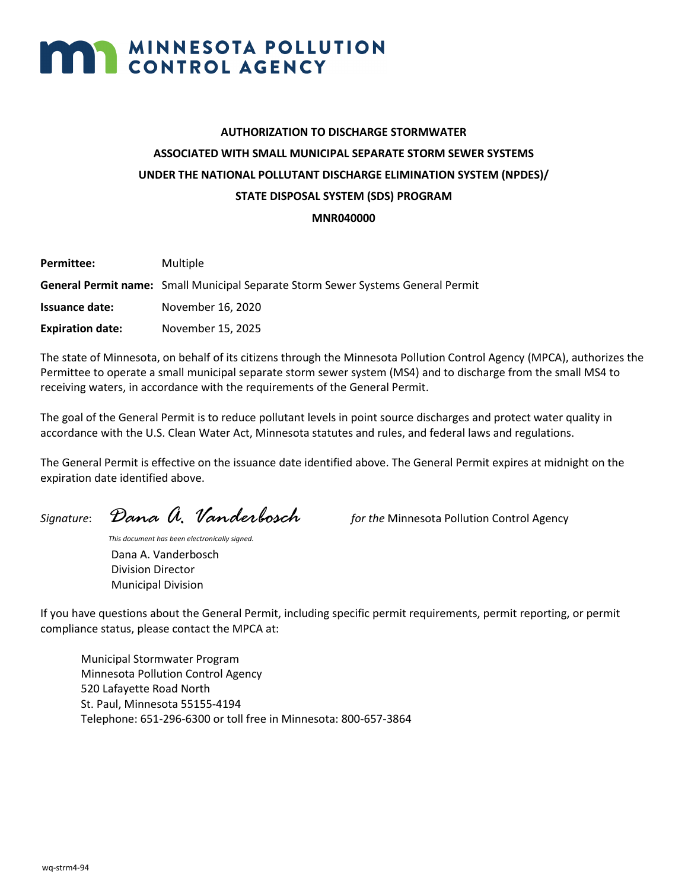# **MAN MINNESOTA POLLUTION**

# **AUTHORIZATION TO DISCHARGE STORMWATER ASSOCIATED WITH SMALL MUNICIPAL SEPARATE STORM SEWER SYSTEMS UNDER THE NATIONAL POLLUTANT DISCHARGE ELIMINATION SYSTEM (NPDES)/ STATE DISPOSAL SYSTEM (SDS) PROGRAM**

**MNR040000**

| Permittee:              | Multiple                                                                         |
|-------------------------|----------------------------------------------------------------------------------|
|                         | General Permit name: Small Municipal Separate Storm Sewer Systems General Permit |
| Issuance date:          | November 16, 2020                                                                |
| <b>Expiration date:</b> | November 15, 2025                                                                |
|                         |                                                                                  |

The state of Minnesota, on behalf of its citizens through the Minnesota Pollution Control Agency (MPCA), authorizes the Permittee to operate a small municipal separate storm sewer system (MS4) and to discharge from the small MS4 to receiving waters, in accordance with the requirements of the General Permit.

The goal of the General Permit is to reduce pollutant levels in point source discharges and protect water quality in accordance with the U.S. Clean Water Act, Minnesota statutes and rules, and federal laws and regulations.

The General Permit is effective on the issuance date identified above. The General Permit expires at midnight on the expiration date identified above.

*Signature*: *Dana A. Vanderbosch for the* Minnesota Pollution Control Agency

*This document has been electronically signed.* Dana A. Vanderbosch Division Director Municipal Division

If you have questions about the General Permit, including specific permit requirements, permit reporting, or permit compliance status, please contact the MPCA at:

Municipal Stormwater Program Minnesota Pollution Control Agency 520 Lafayette Road North St. Paul, Minnesota 55155-4194 Telephone: 651-296-6300 or toll free in Minnesota: 800-657-3864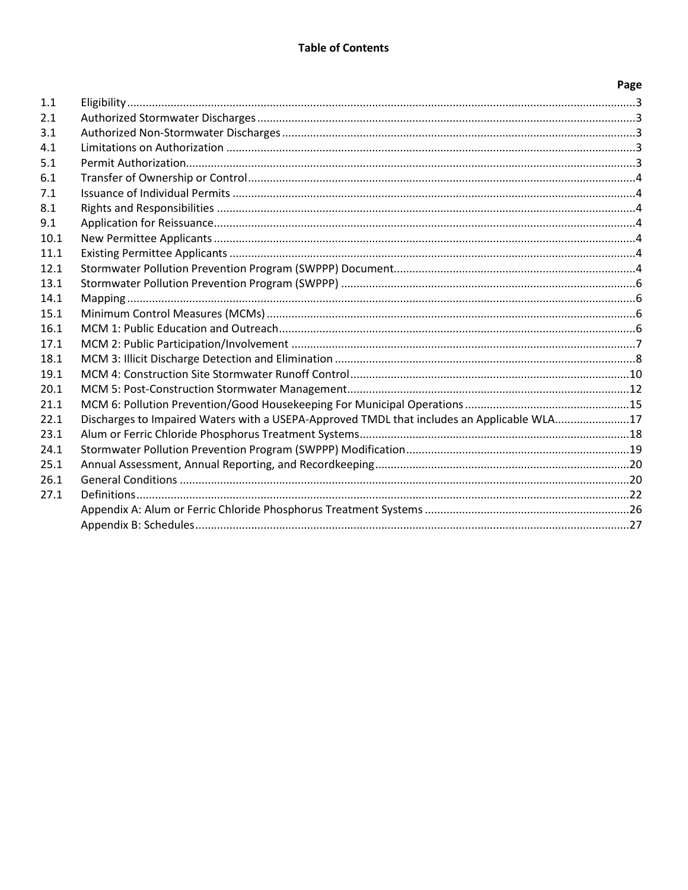|      |                                                                                            | Page |
|------|--------------------------------------------------------------------------------------------|------|
| 1.1  |                                                                                            |      |
| 2.1  |                                                                                            |      |
| 3.1  |                                                                                            |      |
| 4.1  |                                                                                            |      |
| 5.1  |                                                                                            |      |
| 6.1  |                                                                                            |      |
| 7.1  |                                                                                            |      |
| 8.1  |                                                                                            |      |
| 9.1  |                                                                                            |      |
| 10.1 |                                                                                            |      |
| 11.1 |                                                                                            |      |
| 12.1 |                                                                                            |      |
| 13.1 |                                                                                            |      |
| 14.1 |                                                                                            |      |
| 15.1 |                                                                                            |      |
| 16.1 |                                                                                            |      |
| 17.1 |                                                                                            |      |
| 18.1 |                                                                                            |      |
| 19.1 |                                                                                            |      |
| 20.1 |                                                                                            |      |
| 21.1 |                                                                                            |      |
| 22.1 | Discharges to Impaired Waters with a USEPA-Approved TMDL that includes an Applicable WLA17 |      |
| 23.1 |                                                                                            |      |
| 24.1 |                                                                                            |      |
| 25.1 |                                                                                            |      |
| 26.1 |                                                                                            |      |
| 27.1 |                                                                                            |      |
|      |                                                                                            |      |
|      |                                                                                            |      |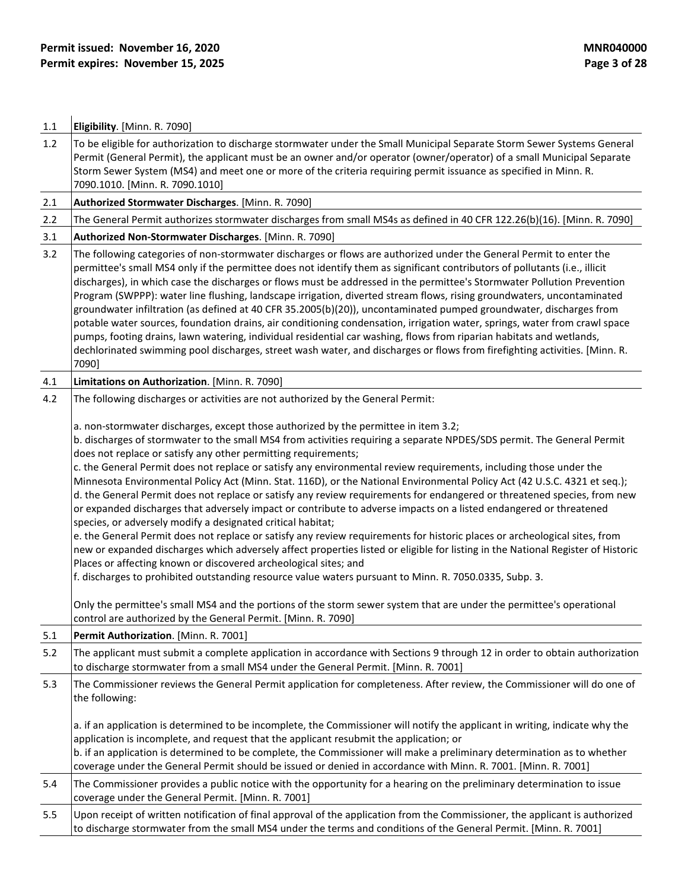| 1.1 | Eligibility. [Minn. R. 7090]                                                                                                                                                                                                                                                                                                                                                                                                                                                                                                                                                                                                                                                                                                                                                                                                                                                                                                                                                                                                                                                                                                                                                                                                                                                                                                                                                                                                                                                                 |
|-----|----------------------------------------------------------------------------------------------------------------------------------------------------------------------------------------------------------------------------------------------------------------------------------------------------------------------------------------------------------------------------------------------------------------------------------------------------------------------------------------------------------------------------------------------------------------------------------------------------------------------------------------------------------------------------------------------------------------------------------------------------------------------------------------------------------------------------------------------------------------------------------------------------------------------------------------------------------------------------------------------------------------------------------------------------------------------------------------------------------------------------------------------------------------------------------------------------------------------------------------------------------------------------------------------------------------------------------------------------------------------------------------------------------------------------------------------------------------------------------------------|
| 1.2 | To be eligible for authorization to discharge stormwater under the Small Municipal Separate Storm Sewer Systems General<br>Permit (General Permit), the applicant must be an owner and/or operator (owner/operator) of a small Municipal Separate<br>Storm Sewer System (MS4) and meet one or more of the criteria requiring permit issuance as specified in Minn. R.<br>7090.1010. [Minn. R. 7090.1010]                                                                                                                                                                                                                                                                                                                                                                                                                                                                                                                                                                                                                                                                                                                                                                                                                                                                                                                                                                                                                                                                                     |
| 2.1 | Authorized Stormwater Discharges. [Minn. R. 7090]                                                                                                                                                                                                                                                                                                                                                                                                                                                                                                                                                                                                                                                                                                                                                                                                                                                                                                                                                                                                                                                                                                                                                                                                                                                                                                                                                                                                                                            |
| 2.2 | The General Permit authorizes stormwater discharges from small MS4s as defined in 40 CFR 122.26(b)(16). [Minn. R. 7090]                                                                                                                                                                                                                                                                                                                                                                                                                                                                                                                                                                                                                                                                                                                                                                                                                                                                                                                                                                                                                                                                                                                                                                                                                                                                                                                                                                      |
| 3.1 | Authorized Non-Stormwater Discharges. [Minn. R. 7090]                                                                                                                                                                                                                                                                                                                                                                                                                                                                                                                                                                                                                                                                                                                                                                                                                                                                                                                                                                                                                                                                                                                                                                                                                                                                                                                                                                                                                                        |
| 3.2 | The following categories of non-stormwater discharges or flows are authorized under the General Permit to enter the<br>permittee's small MS4 only if the permittee does not identify them as significant contributors of pollutants (i.e., illicit<br>discharges), in which case the discharges or flows must be addressed in the permittee's Stormwater Pollution Prevention<br>Program (SWPPP): water line flushing, landscape irrigation, diverted stream flows, rising groundwaters, uncontaminated<br>groundwater infiltration (as defined at 40 CFR 35.2005(b)(20)), uncontaminated pumped groundwater, discharges from<br>potable water sources, foundation drains, air conditioning condensation, irrigation water, springs, water from crawl space<br>pumps, footing drains, lawn watering, individual residential car washing, flows from riparian habitats and wetlands,<br>dechlorinated swimming pool discharges, street wash water, and discharges or flows from firefighting activities. [Minn. R.<br>7090]                                                                                                                                                                                                                                                                                                                                                                                                                                                                   |
| 4.1 | Limitations on Authorization. [Minn. R. 7090]                                                                                                                                                                                                                                                                                                                                                                                                                                                                                                                                                                                                                                                                                                                                                                                                                                                                                                                                                                                                                                                                                                                                                                                                                                                                                                                                                                                                                                                |
| 4.2 | The following discharges or activities are not authorized by the General Permit:                                                                                                                                                                                                                                                                                                                                                                                                                                                                                                                                                                                                                                                                                                                                                                                                                                                                                                                                                                                                                                                                                                                                                                                                                                                                                                                                                                                                             |
|     | a. non-stormwater discharges, except those authorized by the permittee in item 3.2;<br>b. discharges of stormwater to the small MS4 from activities requiring a separate NPDES/SDS permit. The General Permit<br>does not replace or satisfy any other permitting requirements;<br>c. the General Permit does not replace or satisfy any environmental review requirements, including those under the<br>Minnesota Environmental Policy Act (Minn. Stat. 116D), or the National Environmental Policy Act (42 U.S.C. 4321 et seq.);<br>d. the General Permit does not replace or satisfy any review requirements for endangered or threatened species, from new<br>or expanded discharges that adversely impact or contribute to adverse impacts on a listed endangered or threatened<br>species, or adversely modify a designated critical habitat;<br>e. the General Permit does not replace or satisfy any review requirements for historic places or archeological sites, from<br>new or expanded discharges which adversely affect properties listed or eligible for listing in the National Register of Historic<br>Places or affecting known or discovered archeological sites; and<br>f. discharges to prohibited outstanding resource value waters pursuant to Minn. R. 7050.0335, Subp. 3.<br>Only the permittee's small MS4 and the portions of the storm sewer system that are under the permittee's operational<br>control are authorized by the General Permit. [Minn. R. 7090] |
| 5.1 | Permit Authorization. [Minn. R. 7001]                                                                                                                                                                                                                                                                                                                                                                                                                                                                                                                                                                                                                                                                                                                                                                                                                                                                                                                                                                                                                                                                                                                                                                                                                                                                                                                                                                                                                                                        |
| 5.2 | The applicant must submit a complete application in accordance with Sections 9 through 12 in order to obtain authorization<br>to discharge stormwater from a small MS4 under the General Permit. [Minn. R. 7001]                                                                                                                                                                                                                                                                                                                                                                                                                                                                                                                                                                                                                                                                                                                                                                                                                                                                                                                                                                                                                                                                                                                                                                                                                                                                             |
| 5.3 | The Commissioner reviews the General Permit application for completeness. After review, the Commissioner will do one of<br>the following:<br>a. if an application is determined to be incomplete, the Commissioner will notify the applicant in writing, indicate why the<br>application is incomplete, and request that the applicant resubmit the application; or<br>b. if an application is determined to be complete, the Commissioner will make a preliminary determination as to whether<br>coverage under the General Permit should be issued or denied in accordance with Minn. R. 7001. [Minn. R. 7001]                                                                                                                                                                                                                                                                                                                                                                                                                                                                                                                                                                                                                                                                                                                                                                                                                                                                             |
| 5.4 | The Commissioner provides a public notice with the opportunity for a hearing on the preliminary determination to issue<br>coverage under the General Permit. [Minn. R. 7001]                                                                                                                                                                                                                                                                                                                                                                                                                                                                                                                                                                                                                                                                                                                                                                                                                                                                                                                                                                                                                                                                                                                                                                                                                                                                                                                 |
| 5.5 | Upon receipt of written notification of final approval of the application from the Commissioner, the applicant is authorized<br>to discharge stormwater from the small MS4 under the terms and conditions of the General Permit. [Minn. R. 7001]                                                                                                                                                                                                                                                                                                                                                                                                                                                                                                                                                                                                                                                                                                                                                                                                                                                                                                                                                                                                                                                                                                                                                                                                                                             |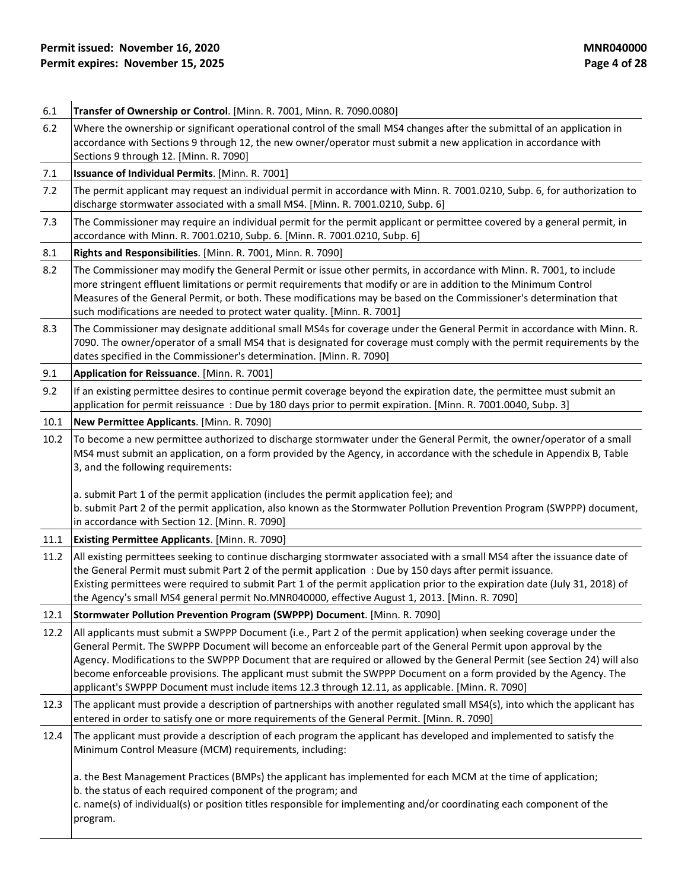| 6.1  | Transfer of Ownership or Control. [Minn. R. 7001, Minn. R. 7090.0080]                                                                                                                                                                                                                                                                                                                                                                                                                                                                                                                       |
|------|---------------------------------------------------------------------------------------------------------------------------------------------------------------------------------------------------------------------------------------------------------------------------------------------------------------------------------------------------------------------------------------------------------------------------------------------------------------------------------------------------------------------------------------------------------------------------------------------|
| 6.2  | Where the ownership or significant operational control of the small MS4 changes after the submittal of an application in<br>accordance with Sections 9 through 12, the new owner/operator must submit a new application in accordance with<br>Sections 9 through 12. [Minn. R. 7090]                                                                                                                                                                                                                                                                                                        |
| 7.1  | Issuance of Individual Permits. [Minn. R. 7001]                                                                                                                                                                                                                                                                                                                                                                                                                                                                                                                                             |
| 7.2  | The permit applicant may request an individual permit in accordance with Minn. R. 7001.0210, Subp. 6, for authorization to<br>discharge stormwater associated with a small MS4. [Minn. R. 7001.0210, Subp. 6]                                                                                                                                                                                                                                                                                                                                                                               |
| 7.3  | The Commissioner may require an individual permit for the permit applicant or permittee covered by a general permit, in<br>accordance with Minn. R. 7001.0210, Subp. 6. [Minn. R. 7001.0210, Subp. 6]                                                                                                                                                                                                                                                                                                                                                                                       |
| 8.1  | Rights and Responsibilities. [Minn. R. 7001, Minn. R. 7090]                                                                                                                                                                                                                                                                                                                                                                                                                                                                                                                                 |
| 8.2  | The Commissioner may modify the General Permit or issue other permits, in accordance with Minn. R. 7001, to include<br>more stringent effluent limitations or permit requirements that modify or are in addition to the Minimum Control<br>Measures of the General Permit, or both. These modifications may be based on the Commissioner's determination that<br>such modifications are needed to protect water quality. [Minn. R. 7001]                                                                                                                                                    |
| 8.3  | The Commissioner may designate additional small MS4s for coverage under the General Permit in accordance with Minn. R.<br>7090. The owner/operator of a small MS4 that is designated for coverage must comply with the permit requirements by the<br>dates specified in the Commissioner's determination. [Minn. R. 7090]                                                                                                                                                                                                                                                                   |
| 9.1  | Application for Reissuance. [Minn. R. 7001]                                                                                                                                                                                                                                                                                                                                                                                                                                                                                                                                                 |
| 9.2  | If an existing permittee desires to continue permit coverage beyond the expiration date, the permittee must submit an<br>application for permit reissuance : Due by 180 days prior to permit expiration. [Minn. R. 7001.0040, Subp. 3]                                                                                                                                                                                                                                                                                                                                                      |
| 10.1 | New Permittee Applicants. [Minn. R. 7090]                                                                                                                                                                                                                                                                                                                                                                                                                                                                                                                                                   |
| 10.2 | To become a new permittee authorized to discharge stormwater under the General Permit, the owner/operator of a small<br>MS4 must submit an application, on a form provided by the Agency, in accordance with the schedule in Appendix B, Table<br>3, and the following requirements:                                                                                                                                                                                                                                                                                                        |
|      | a. submit Part 1 of the permit application (includes the permit application fee); and<br>b. submit Part 2 of the permit application, also known as the Stormwater Pollution Prevention Program (SWPPP) document,<br>in accordance with Section 12. [Minn. R. 7090]                                                                                                                                                                                                                                                                                                                          |
| 11.1 | <b>Existing Permittee Applicants.</b> [Minn. R. 7090]                                                                                                                                                                                                                                                                                                                                                                                                                                                                                                                                       |
| 11.2 | All existing permittees seeking to continue discharging stormwater associated with a small MS4 after the issuance date of<br>the General Permit must submit Part 2 of the permit application : Due by 150 days after permit issuance.<br>Existing permittees were required to submit Part 1 of the permit application prior to the expiration date (July 31, 2018) of<br>the Agency's small MS4 general permit No.MNR040000, effective August 1, 2013. [Minn. R. 7090]                                                                                                                      |
| 12.1 | Stormwater Pollution Prevention Program (SWPPP) Document. [Minn. R. 7090]                                                                                                                                                                                                                                                                                                                                                                                                                                                                                                                   |
| 12.2 | All applicants must submit a SWPPP Document (i.e., Part 2 of the permit application) when seeking coverage under the<br>General Permit. The SWPPP Document will become an enforceable part of the General Permit upon approval by the<br>Agency. Modifications to the SWPPP Document that are required or allowed by the General Permit (see Section 24) will also<br>become enforceable provisions. The applicant must submit the SWPPP Document on a form provided by the Agency. The<br>applicant's SWPPP Document must include items 12.3 through 12.11, as applicable. [Minn. R. 7090] |
| 12.3 | The applicant must provide a description of partnerships with another regulated small MS4(s), into which the applicant has<br>entered in order to satisfy one or more requirements of the General Permit. [Minn. R. 7090]                                                                                                                                                                                                                                                                                                                                                                   |
| 12.4 | The applicant must provide a description of each program the applicant has developed and implemented to satisfy the<br>Minimum Control Measure (MCM) requirements, including:                                                                                                                                                                                                                                                                                                                                                                                                               |
|      | a. the Best Management Practices (BMPs) the applicant has implemented for each MCM at the time of application;<br>b. the status of each required component of the program; and<br>c. name(s) of individual(s) or position titles responsible for implementing and/or coordinating each component of the<br>program.                                                                                                                                                                                                                                                                         |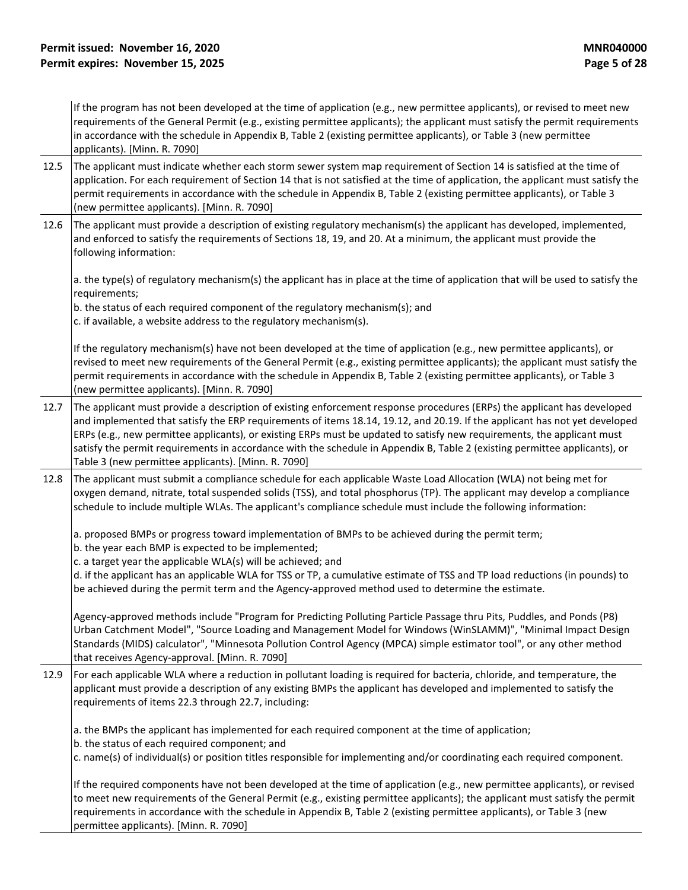If the program has not been developed at the time of application (e.g., new permittee applicants), or revised to meet new requirements of the General Permit (e.g., existing permittee applicants); the applicant must satisfy the permit requirements in accordance with the schedule in Appendix B, Table 2 (existing permittee applicants), or Table 3 (new permittee applicants). [Minn. R. 7090]

- 12.5 The applicant must indicate whether each storm sewer system map requirement of Section 14 is satisfied at the time of application. For each requirement of Section 14 that is not satisfied at the time of application, the applicant must satisfy the permit requirements in accordance with the schedule in Appendix B, Table 2 (existing permittee applicants), or Table 3 (new permittee applicants). [Minn. R. 7090]
- 12.6 The applicant must provide a description of existing regulatory mechanism(s) the applicant has developed, implemented, and enforced to satisfy the requirements of Sections 18, 19, and 20. At a minimum, the applicant must provide the following information:

a. the type(s) of regulatory mechanism(s) the applicant has in place at the time of application that will be used to satisfy the requirements;

b. the status of each required component of the regulatory mechanism(s); and

c. if available, a website address to the regulatory mechanism(s).

If the regulatory mechanism(s) have not been developed at the time of application (e.g., new permittee applicants), or revised to meet new requirements of the General Permit (e.g., existing permittee applicants); the applicant must satisfy the permit requirements in accordance with the schedule in Appendix B, Table 2 (existing permittee applicants), or Table 3 (new permittee applicants). [Minn. R. 7090]

- 12.7 The applicant must provide a description of existing enforcement response procedures (ERPs) the applicant has developed and implemented that satisfy the ERP requirements of items 18.14, 19.12, and 20.19. If the applicant has not yet developed ERPs (e.g., new permittee applicants), or existing ERPs must be updated to satisfy new requirements, the applicant must satisfy the permit requirements in accordance with the schedule in Appendix B, Table 2 (existing permittee applicants), or Table 3 (new permittee applicants). [Minn. R. 7090]
- 12.8 The applicant must submit a compliance schedule for each applicable Waste Load Allocation (WLA) not being met for oxygen demand, nitrate, total suspended solids (TSS), and total phosphorus (TP). The applicant may develop a compliance schedule to include multiple WLAs. The applicant's compliance schedule must include the following information:

a. proposed BMPs or progress toward implementation of BMPs to be achieved during the permit term;

- b. the year each BMP is expected to be implemented;
- c. a target year the applicable WLA(s) will be achieved; and

d. if the applicant has an applicable WLA for TSS or TP, a cumulative estimate of TSS and TP load reductions (in pounds) to be achieved during the permit term and the Agency-approved method used to determine the estimate.

Agency-approved methods include "Program for Predicting Polluting Particle Passage thru Pits, Puddles, and Ponds (P8) Urban Catchment Model", "Source Loading and Management Model for Windows (WinSLAMM)", "Minimal Impact Design Standards (MIDS) calculator", "Minnesota Pollution Control Agency (MPCA) simple estimator tool", or any other method that receives Agency-approval. [Minn. R. 7090]

12.9 For each applicable WLA where a reduction in pollutant loading is required for bacteria, chloride, and temperature, the applicant must provide a description of any existing BMPs the applicant has developed and implemented to satisfy the requirements of items 22.3 through 22.7, including:

a. the BMPs the applicant has implemented for each required component at the time of application; b. the status of each required component; and

c. name(s) of individual(s) or position titles responsible for implementing and/or coordinating each required component.

If the required components have not been developed at the time of application (e.g., new permittee applicants), or revised to meet new requirements of the General Permit (e.g., existing permittee applicants); the applicant must satisfy the permit requirements in accordance with the schedule in Appendix B, Table 2 (existing permittee applicants), or Table 3 (new permittee applicants). [Minn. R. 7090]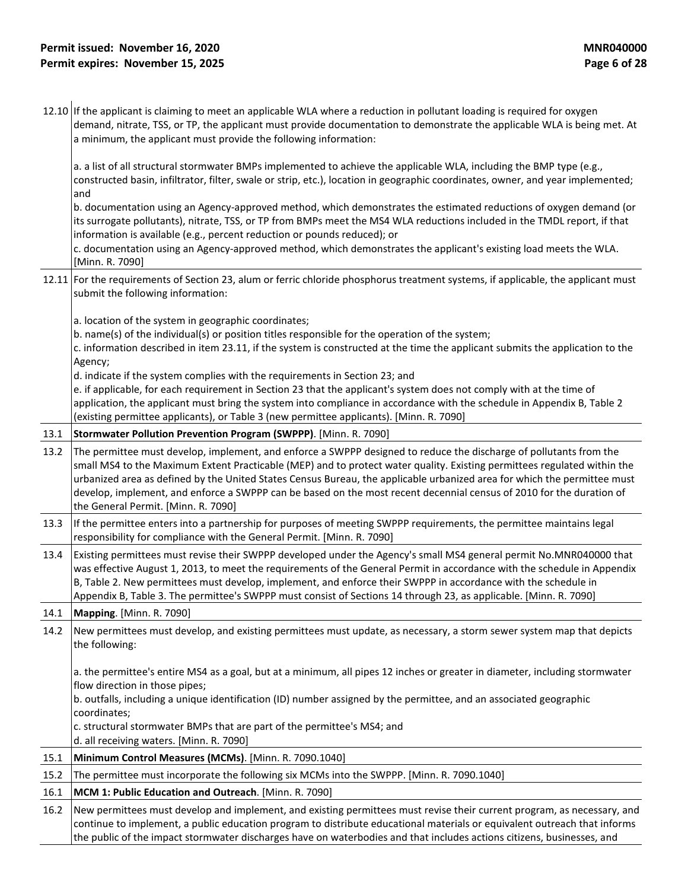12.10 If the applicant is claiming to meet an applicable WLA where a reduction in pollutant loading is required for oxygen demand, nitrate, TSS, or TP, the applicant must provide documentation to demonstrate the applicable WLA is being met. At a minimum, the applicant must provide the following information:

a. a list of all structural stormwater BMPs implemented to achieve the applicable WLA, including the BMP type (e.g., constructed basin, infiltrator, filter, swale or strip, etc.), location in geographic coordinates, owner, and year implemented; and

b. documentation using an Agency-approved method, which demonstrates the estimated reductions of oxygen demand (or its surrogate pollutants), nitrate, TSS, or TP from BMPs meet the MS4 WLA reductions included in the TMDL report, if that information is available (e.g., percent reduction or pounds reduced); or

c. documentation using an Agency-approved method, which demonstrates the applicant's existing load meets the WLA. [Minn. R. 7090]

12.11 For the requirements of Section 23, alum or ferric chloride phosphorus treatment systems, if applicable, the applicant must submit the following information:

a. location of the system in geographic coordinates;

b. name(s) of the individual(s) or position titles responsible for the operation of the system;

c. information described in item 23.11, if the system is constructed at the time the applicant submits the application to the Agency;

d. indicate if the system complies with the requirements in Section 23; and

e. if applicable, for each requirement in Section 23 that the applicant's system does not comply with at the time of application, the applicant must bring the system into compliance in accordance with the schedule in Appendix B, Table 2 (existing permittee applicants), or Table 3 (new permittee applicants). [Minn. R. 7090]

#### 13.1 **Stormwater Pollution Prevention Program (SWPPP)**. [Minn. R. 7090]

- 13.2 The permittee must develop, implement, and enforce a SWPPP designed to reduce the discharge of pollutants from the small MS4 to the Maximum Extent Practicable (MEP) and to protect water quality. Existing permittees regulated within the urbanized area as defined by the United States Census Bureau, the applicable urbanized area for which the permittee must develop, implement, and enforce a SWPPP can be based on the most recent decennial census of 2010 for the duration of the General Permit. [Minn. R. 7090]
- 13.3 If the permittee enters into a partnership for purposes of meeting SWPPP requirements, the permittee maintains legal responsibility for compliance with the General Permit. [Minn. R. 7090]
- 13.4 Existing permittees must revise their SWPPP developed under the Agency's small MS4 general permit No.MNR040000 that was effective August 1, 2013, to meet the requirements of the General Permit in accordance with the schedule in Appendix B, Table 2. New permittees must develop, implement, and enforce their SWPPP in accordance with the schedule in Appendix B, Table 3. The permittee's SWPPP must consist of Sections 14 through 23, as applicable. [Minn. R. 7090]

14.1 **Mapping**. [Minn. R. 7090]

14.2 New permittees must develop, and existing permittees must update, as necessary, a storm sewer system map that depicts the following:

a. the permittee's entire MS4 as a goal, but at a minimum, all pipes 12 inches or greater in diameter, including stormwater flow direction in those pipes;

b. outfalls, including a unique identification (ID) number assigned by the permittee, and an associated geographic coordinates;

c. structural stormwater BMPs that are part of the permittee's MS4; and

d. all receiving waters. [Minn. R. 7090]

15.1 **Minimum Control Measures (MCMs)**. [Minn. R. 7090.1040]

|  | 15.2 The permittee must incorporate the following six MCMs into the SWPPP. [Minn. R. 7090.1040] |  |  |
|--|-------------------------------------------------------------------------------------------------|--|--|
|--|-------------------------------------------------------------------------------------------------|--|--|

16.1 **MCM 1: Public Education and Outreach**. [Minn. R. 7090]

16.2 New permittees must develop and implement, and existing permittees must revise their current program, as necessary, and continue to implement, a public education program to distribute educational materials or equivalent outreach that informs the public of the impact stormwater discharges have on waterbodies and that includes actions citizens, businesses, and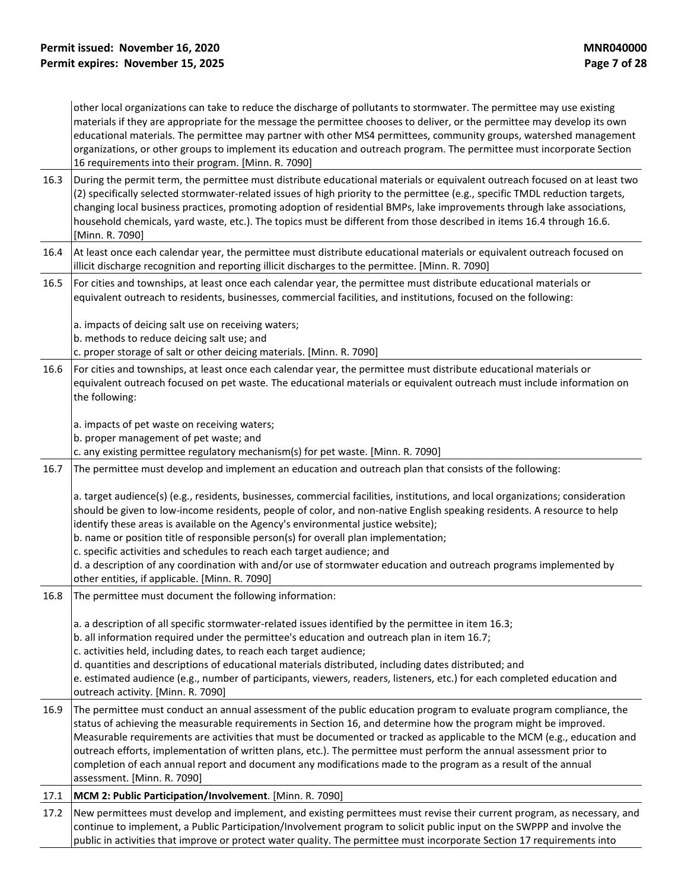other local organizations can take to reduce the discharge of pollutants to stormwater. The permittee may use existing materials if they are appropriate for the message the permittee chooses to deliver, or the permittee may develop its own educational materials. The permittee may partner with other MS4 permittees, community groups, watershed management organizations, or other groups to implement its education and outreach program. The permittee must incorporate Section 16 requirements into their program. [Minn. R. 7090]

- 16.3 During the permit term, the permittee must distribute educational materials or equivalent outreach focused on at least two (2) specifically selected stormwater-related issues of high priority to the permittee (e.g., specific TMDL reduction targets, changing local business practices, promoting adoption of residential BMPs, lake improvements through lake associations, household chemicals, yard waste, etc.). The topics must be different from those described in items 16.4 through 16.6. [Minn. R. 7090]
- 16.4 At least once each calendar year, the permittee must distribute educational materials or equivalent outreach focused on illicit discharge recognition and reporting illicit discharges to the permittee. [Minn. R. 7090]
- 16.5 For cities and townships, at least once each calendar year, the permittee must distribute educational materials or equivalent outreach to residents, businesses, commercial facilities, and institutions, focused on the following:

a. impacts of deicing salt use on receiving waters;

- b. methods to reduce deicing salt use; and
- c. proper storage of salt or other deicing materials. [Minn. R. 7090]
- 16.6 For cities and townships, at least once each calendar year, the permittee must distribute educational materials or equivalent outreach focused on pet waste. The educational materials or equivalent outreach must include information on the following:

a. impacts of pet waste on receiving waters;

b. proper management of pet waste; and

c. any existing permittee regulatory mechanism(s) for pet waste. [Minn. R. 7090]

16.7 The permittee must develop and implement an education and outreach plan that consists of the following:

a. target audience(s) (e.g., residents, businesses, commercial facilities, institutions, and local organizations; consideration should be given to low-income residents, people of color, and non-native English speaking residents. A resource to help identify these areas is available on the Agency's environmental justice website);

- b. name or position title of responsible person(s) for overall plan implementation;
- c. specific activities and schedules to reach each target audience; and

d. a description of any coordination with and/or use of stormwater education and outreach programs implemented by other entities, if applicable. [Minn. R. 7090]

16.8 The permittee must document the following information:

a. a description of all specific stormwater-related issues identified by the permittee in item 16.3;

b. all information required under the permittee's education and outreach plan in item 16.7;

c. activities held, including dates, to reach each target audience;

d. quantities and descriptions of educational materials distributed, including dates distributed; and

e. estimated audience (e.g., number of participants, viewers, readers, listeners, etc.) for each completed education and outreach activity. [Minn. R. 7090]

- 16.9 The permittee must conduct an annual assessment of the public education program to evaluate program compliance, the status of achieving the measurable requirements in Section 16, and determine how the program might be improved. Measurable requirements are activities that must be documented or tracked as applicable to the MCM (e.g., education and outreach efforts, implementation of written plans, etc.). The permittee must perform the annual assessment prior to completion of each annual report and document any modifications made to the program as a result of the annual assessment. [Minn. R. 7090]
- 17.1 **MCM 2: Public Participation/Involvement**. [Minn. R. 7090]

17.2 New permittees must develop and implement, and existing permittees must revise their current program, as necessary, and continue to implement, a Public Participation/Involvement program to solicit public input on the SWPPP and involve the public in activities that improve or protect water quality. The permittee must incorporate Section 17 requirements into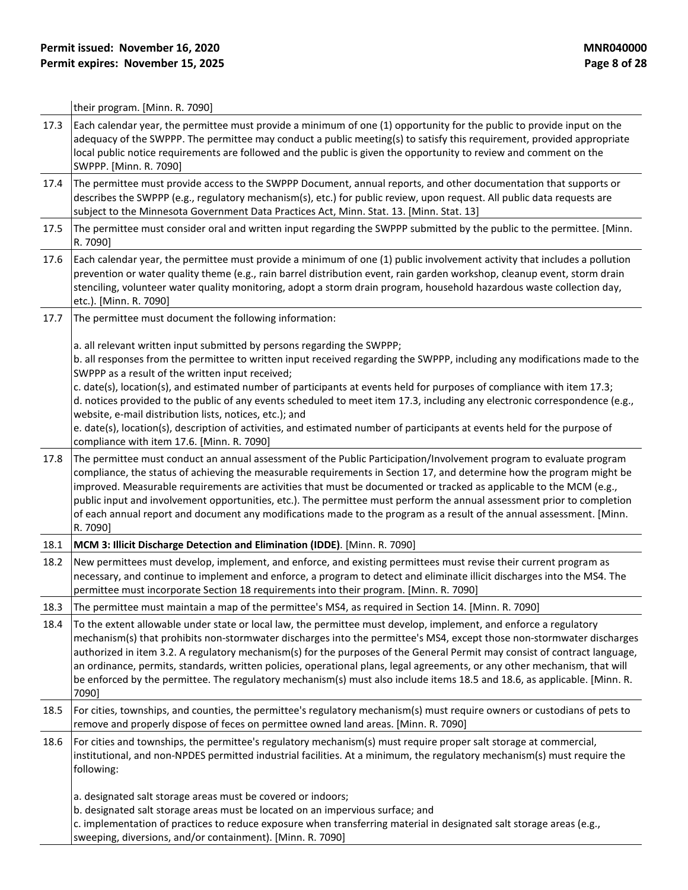their program. [Minn. R. 7090]

| 17.3 | Each calendar year, the permittee must provide a minimum of one (1) opportunity for the public to provide input on the<br>adequacy of the SWPPP. The permittee may conduct a public meeting(s) to satisfy this requirement, provided appropriate<br>local public notice requirements are followed and the public is given the opportunity to review and comment on the<br>SWPPP. [Minn. R. 7090]                                                                                                                                                                                                                                                                                                             |
|------|--------------------------------------------------------------------------------------------------------------------------------------------------------------------------------------------------------------------------------------------------------------------------------------------------------------------------------------------------------------------------------------------------------------------------------------------------------------------------------------------------------------------------------------------------------------------------------------------------------------------------------------------------------------------------------------------------------------|
| 17.4 | The permittee must provide access to the SWPPP Document, annual reports, and other documentation that supports or<br>describes the SWPPP (e.g., regulatory mechanism(s), etc.) for public review, upon request. All public data requests are<br>subject to the Minnesota Government Data Practices Act, Minn. Stat. 13. [Minn. Stat. 13]                                                                                                                                                                                                                                                                                                                                                                     |
| 17.5 | The permittee must consider oral and written input regarding the SWPPP submitted by the public to the permittee. [Minn.<br>R. 7090]                                                                                                                                                                                                                                                                                                                                                                                                                                                                                                                                                                          |
| 17.6 | Each calendar year, the permittee must provide a minimum of one (1) public involvement activity that includes a pollution<br>prevention or water quality theme (e.g., rain barrel distribution event, rain garden workshop, cleanup event, storm drain<br>stenciling, volunteer water quality monitoring, adopt a storm drain program, household hazardous waste collection day,<br>etc.). [Minn. R. 7090]                                                                                                                                                                                                                                                                                                   |
| 17.7 | The permittee must document the following information:                                                                                                                                                                                                                                                                                                                                                                                                                                                                                                                                                                                                                                                       |
|      | a. all relevant written input submitted by persons regarding the SWPPP;<br>b. all responses from the permittee to written input received regarding the SWPPP, including any modifications made to the<br>SWPPP as a result of the written input received;<br>c. date(s), location(s), and estimated number of participants at events held for purposes of compliance with item 17.3;<br>d. notices provided to the public of any events scheduled to meet item 17.3, including any electronic correspondence (e.g.,<br>website, e-mail distribution lists, notices, etc.); and<br>e. date(s), location(s), description of activities, and estimated number of participants at events held for the purpose of |
| 17.8 | compliance with item 17.6. [Minn. R. 7090]<br>The permittee must conduct an annual assessment of the Public Participation/Involvement program to evaluate program<br>compliance, the status of achieving the measurable requirements in Section 17, and determine how the program might be<br>improved. Measurable requirements are activities that must be documented or tracked as applicable to the MCM (e.g.,<br>public input and involvement opportunities, etc.). The permittee must perform the annual assessment prior to completion<br>of each annual report and document any modifications made to the program as a result of the annual assessment. [Minn.<br>R. 7090]                            |
| 18.1 | MCM 3: Illicit Discharge Detection and Elimination (IDDE). [Minn. R. 7090]                                                                                                                                                                                                                                                                                                                                                                                                                                                                                                                                                                                                                                   |
| 18.2 | New permittees must develop, implement, and enforce, and existing permittees must revise their current program as<br>necessary, and continue to implement and enforce, a program to detect and eliminate illicit discharges into the MS4. The<br>permittee must incorporate Section 18 requirements into their program. [Minn. R. 7090]                                                                                                                                                                                                                                                                                                                                                                      |
| 18.3 | The permittee must maintain a map of the permittee's MS4, as required in Section 14. [Minn. R. 7090]                                                                                                                                                                                                                                                                                                                                                                                                                                                                                                                                                                                                         |
| 18.4 | To the extent allowable under state or local law, the permittee must develop, implement, and enforce a regulatory<br>mechanism(s) that prohibits non-stormwater discharges into the permittee's MS4, except those non-stormwater discharges<br>authorized in item 3.2. A regulatory mechanism(s) for the purposes of the General Permit may consist of contract language,<br>an ordinance, permits, standards, written policies, operational plans, legal agreements, or any other mechanism, that will<br>be enforced by the permittee. The regulatory mechanism(s) must also include items 18.5 and 18.6, as applicable. [Minn. R.<br>7090]                                                                |
| 18.5 | For cities, townships, and counties, the permittee's regulatory mechanism(s) must require owners or custodians of pets to<br>remove and properly dispose of feces on permittee owned land areas. [Minn. R. 7090]                                                                                                                                                                                                                                                                                                                                                                                                                                                                                             |
| 18.6 | For cities and townships, the permittee's regulatory mechanism(s) must require proper salt storage at commercial,<br>institutional, and non-NPDES permitted industrial facilities. At a minimum, the regulatory mechanism(s) must require the<br>following:                                                                                                                                                                                                                                                                                                                                                                                                                                                  |
|      | a. designated salt storage areas must be covered or indoors;<br>b. designated salt storage areas must be located on an impervious surface; and<br>c. implementation of practices to reduce exposure when transferring material in designated salt storage areas (e.g.,<br>sweeping, diversions, and/or containment). [Minn. R. 7090]                                                                                                                                                                                                                                                                                                                                                                         |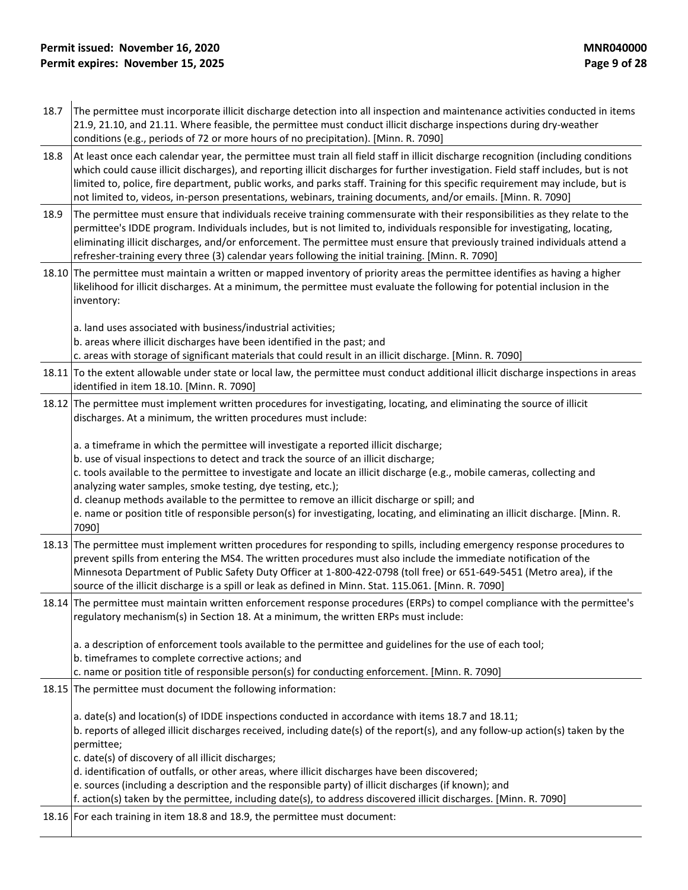- 18.7 The permittee must incorporate illicit discharge detection into all inspection and maintenance activities conducted in items 21.9, 21.10, and 21.11. Where feasible, the permittee must conduct illicit discharge inspections during dry-weather conditions (e.g., periods of 72 or more hours of no precipitation). [Minn. R. 7090]
- 18.8 At least once each calendar year, the permittee must train all field staff in illicit discharge recognition (including conditions which could cause illicit discharges), and reporting illicit discharges for further investigation. Field staff includes, but is not limited to, police, fire department, public works, and parks staff. Training for this specific requirement may include, but is not limited to, videos, in-person presentations, webinars, training documents, and/or emails. [Minn. R. 7090]
- 18.9 The permittee must ensure that individuals receive training commensurate with their responsibilities as they relate to the permittee's IDDE program. Individuals includes, but is not limited to, individuals responsible for investigating, locating, eliminating illicit discharges, and/or enforcement. The permittee must ensure that previously trained individuals attend a refresher-training every three (3) calendar years following the initial training. [Minn. R. 7090]
- 18.10 The permittee must maintain a written or mapped inventory of priority areas the permittee identifies as having a higher likelihood for illicit discharges. At a minimum, the permittee must evaluate the following for potential inclusion in the inventory:

a. land uses associated with business/industrial activities;

b. areas where illicit discharges have been identified in the past; and

c. areas with storage of significant materials that could result in an illicit discharge. [Minn. R. 7090]

- 18.11 To the extent allowable under state or local law, the permittee must conduct additional illicit discharge inspections in areas identified in item 18.10. [Minn. R. 7090]
- 18.12 The permittee must implement written procedures for investigating, locating, and eliminating the source of illicit discharges. At a minimum, the written procedures must include:

a. a timeframe in which the permittee will investigate a reported illicit discharge;

b. use of visual inspections to detect and track the source of an illicit discharge;

c. tools available to the permittee to investigate and locate an illicit discharge (e.g., mobile cameras, collecting and analyzing water samples, smoke testing, dye testing, etc.);

d. cleanup methods available to the permittee to remove an illicit discharge or spill; and

e. name or position title of responsible person(s) for investigating, locating, and eliminating an illicit discharge. [Minn. R. 7090]

- 18.13 The permittee must implement written procedures for responding to spills, including emergency response procedures to prevent spills from entering the MS4. The written procedures must also include the immediate notification of the Minnesota Department of Public Safety Duty Officer at 1-800-422-0798 (toll free) or 651-649-5451 (Metro area), if the source of the illicit discharge is a spill or leak as defined in Minn. Stat. 115.061. [Minn. R. 7090]
- 18.14 The permittee must maintain written enforcement response procedures (ERPs) to compel compliance with the permittee's regulatory mechanism(s) in Section 18. At a minimum, the written ERPs must include:

a. a description of enforcement tools available to the permittee and guidelines for the use of each tool;

b. timeframes to complete corrective actions; and

c. name or position title of responsible person(s) for conducting enforcement. [Minn. R. 7090]

18.15 The permittee must document the following information:

a. date(s) and location(s) of IDDE inspections conducted in accordance with items 18.7 and 18.11; b. reports of alleged illicit discharges received, including date(s) of the report(s), and any follow-up action(s) taken by the permittee;

c. date(s) of discovery of all illicit discharges;

d. identification of outfalls, or other areas, where illicit discharges have been discovered;

e. sources (including a description and the responsible party) of illicit discharges (if known); and

f. action(s) taken by the permittee, including date(s), to address discovered illicit discharges. [Minn. R. 7090]

18.16 For each training in item 18.8 and 18.9, the permittee must document: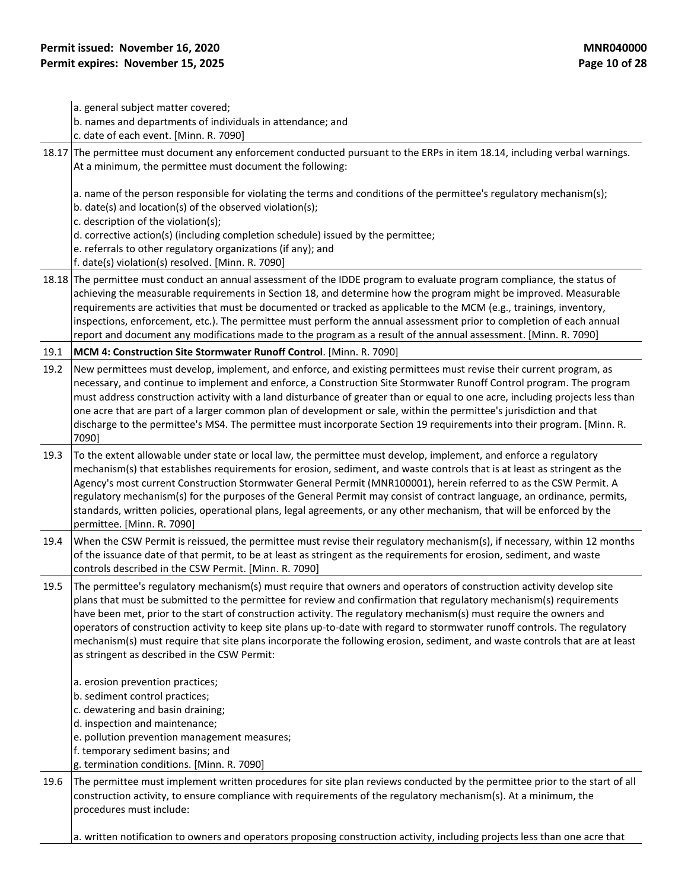|      | a. general subject matter covered;<br>b. names and departments of individuals in attendance; and<br>c. date of each event. [Minn. R. 7090]                                                                                                                                                                                                                                                                                                                                                                                                                                                                                                                                      |
|------|---------------------------------------------------------------------------------------------------------------------------------------------------------------------------------------------------------------------------------------------------------------------------------------------------------------------------------------------------------------------------------------------------------------------------------------------------------------------------------------------------------------------------------------------------------------------------------------------------------------------------------------------------------------------------------|
|      | 18.17 The permittee must document any enforcement conducted pursuant to the ERPs in item 18.14, including verbal warnings.<br>At a minimum, the permittee must document the following:                                                                                                                                                                                                                                                                                                                                                                                                                                                                                          |
|      | a. name of the person responsible for violating the terms and conditions of the permittee's regulatory mechanism(s);<br>b. date(s) and location(s) of the observed violation(s);<br>c. description of the violation(s);<br>d. corrective action(s) (including completion schedule) issued by the permittee;<br>e. referrals to other regulatory organizations (if any); and                                                                                                                                                                                                                                                                                                     |
|      | f. date(s) violation(s) resolved. [Minn. R. 7090]                                                                                                                                                                                                                                                                                                                                                                                                                                                                                                                                                                                                                               |
|      | 18.18 The permittee must conduct an annual assessment of the IDDE program to evaluate program compliance, the status of<br>achieving the measurable requirements in Section 18, and determine how the program might be improved. Measurable<br>requirements are activities that must be documented or tracked as applicable to the MCM (e.g., trainings, inventory,<br>inspections, enforcement, etc.). The permittee must perform the annual assessment prior to completion of each annual<br>report and document any modifications made to the program as a result of the annual assessment. [Minn. R. 7090]                                                                  |
| 19.1 | MCM 4: Construction Site Stormwater Runoff Control. [Minn. R. 7090]                                                                                                                                                                                                                                                                                                                                                                                                                                                                                                                                                                                                             |
| 19.2 | New permittees must develop, implement, and enforce, and existing permittees must revise their current program, as<br>necessary, and continue to implement and enforce, a Construction Site Stormwater Runoff Control program. The program<br>must address construction activity with a land disturbance of greater than or equal to one acre, including projects less than<br>one acre that are part of a larger common plan of development or sale, within the permittee's jurisdiction and that<br>discharge to the permittee's MS4. The permittee must incorporate Section 19 requirements into their program. [Minn. R.<br>7090]                                           |
| 19.3 | To the extent allowable under state or local law, the permittee must develop, implement, and enforce a regulatory<br>mechanism(s) that establishes requirements for erosion, sediment, and waste controls that is at least as stringent as the<br>Agency's most current Construction Stormwater General Permit (MNR100001), herein referred to as the CSW Permit. A<br>regulatory mechanism(s) for the purposes of the General Permit may consist of contract language, an ordinance, permits,<br>standards, written policies, operational plans, legal agreements, or any other mechanism, that will be enforced by the<br>permittee. [Minn. R. 7090]                          |
| 19.4 | When the CSW Permit is reissued, the permittee must revise their regulatory mechanism(s), if necessary, within 12 months<br>of the issuance date of that permit, to be at least as stringent as the requirements for erosion, sediment, and waste<br>controls described in the CSW Permit. [Minn. R. 7090]                                                                                                                                                                                                                                                                                                                                                                      |
| 19.5 | The permittee's regulatory mechanism(s) must require that owners and operators of construction activity develop site<br>plans that must be submitted to the permittee for review and confirmation that regulatory mechanism(s) requirements<br>have been met, prior to the start of construction activity. The regulatory mechanism(s) must require the owners and<br>operators of construction activity to keep site plans up-to-date with regard to stormwater runoff controls. The regulatory<br>mechanism(s) must require that site plans incorporate the following erosion, sediment, and waste controls that are at least<br>as stringent as described in the CSW Permit: |
|      | a. erosion prevention practices;<br>b. sediment control practices;<br>c. dewatering and basin draining;<br>d. inspection and maintenance;<br>e. pollution prevention management measures;<br>f. temporary sediment basins; and<br>g. termination conditions. [Minn. R. 7090]                                                                                                                                                                                                                                                                                                                                                                                                    |
| 19.6 | The permittee must implement written procedures for site plan reviews conducted by the permittee prior to the start of all<br>construction activity, to ensure compliance with requirements of the regulatory mechanism(s). At a minimum, the<br>procedures must include:                                                                                                                                                                                                                                                                                                                                                                                                       |
|      | a. written notification to owners and operators proposing construction activity, including projects less than one acre that                                                                                                                                                                                                                                                                                                                                                                                                                                                                                                                                                     |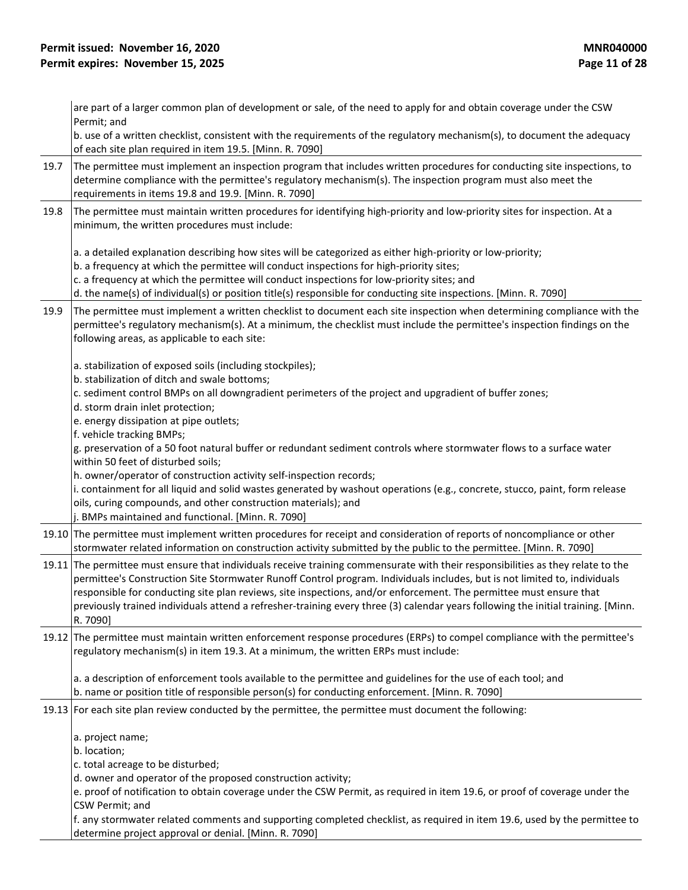|      | are part of a larger common plan of development or sale, of the need to apply for and obtain coverage under the CSW<br>Permit; and                                                                                                                                                                                                                                                                                                                                                                                                  |
|------|-------------------------------------------------------------------------------------------------------------------------------------------------------------------------------------------------------------------------------------------------------------------------------------------------------------------------------------------------------------------------------------------------------------------------------------------------------------------------------------------------------------------------------------|
|      | b. use of a written checklist, consistent with the requirements of the regulatory mechanism(s), to document the adequacy<br>of each site plan required in item 19.5. [Minn. R. 7090]                                                                                                                                                                                                                                                                                                                                                |
| 19.7 | The permittee must implement an inspection program that includes written procedures for conducting site inspections, to<br>determine compliance with the permittee's regulatory mechanism(s). The inspection program must also meet the<br>requirements in items 19.8 and 19.9. [Minn. R. 7090]                                                                                                                                                                                                                                     |
| 19.8 | The permittee must maintain written procedures for identifying high-priority and low-priority sites for inspection. At a<br>minimum, the written procedures must include:                                                                                                                                                                                                                                                                                                                                                           |
|      | a. a detailed explanation describing how sites will be categorized as either high-priority or low-priority;<br>b. a frequency at which the permittee will conduct inspections for high-priority sites;<br>c. a frequency at which the permittee will conduct inspections for low-priority sites; and<br>d. the name(s) of individual(s) or position title(s) responsible for conducting site inspections. [Minn. R. 7090]                                                                                                           |
| 19.9 | The permittee must implement a written checklist to document each site inspection when determining compliance with the<br>permittee's regulatory mechanism(s). At a minimum, the checklist must include the permittee's inspection findings on the<br>following areas, as applicable to each site:                                                                                                                                                                                                                                  |
|      | a. stabilization of exposed soils (including stockpiles);<br>b. stabilization of ditch and swale bottoms;<br>c. sediment control BMPs on all downgradient perimeters of the project and upgradient of buffer zones;<br>d. storm drain inlet protection;<br>e. energy dissipation at pipe outlets;<br>f. vehicle tracking BMPs;                                                                                                                                                                                                      |
|      | g. preservation of a 50 foot natural buffer or redundant sediment controls where stormwater flows to a surface water<br>within 50 feet of disturbed soils;                                                                                                                                                                                                                                                                                                                                                                          |
|      | h. owner/operator of construction activity self-inspection records;<br>i. containment for all liquid and solid wastes generated by washout operations (e.g., concrete, stucco, paint, form release<br>oils, curing compounds, and other construction materials); and<br>j. BMPs maintained and functional. [Minn. R. 7090]                                                                                                                                                                                                          |
|      | 19.10 The permittee must implement written procedures for receipt and consideration of reports of noncompliance or other<br>stormwater related information on construction activity submitted by the public to the permittee. [Minn. R. 7090]                                                                                                                                                                                                                                                                                       |
|      | 19.11 The permittee must ensure that individuals receive training commensurate with their responsibilities as they relate to the<br>permittee's Construction Site Stormwater Runoff Control program. Individuals includes, but is not limited to, individuals<br>responsible for conducting site plan reviews, site inspections, and/or enforcement. The permittee must ensure that<br>previously trained individuals attend a refresher-training every three (3) calendar years following the initial training. [Minn.<br>R. 7090] |
|      | 19.12 The permittee must maintain written enforcement response procedures (ERPs) to compel compliance with the permittee's<br>regulatory mechanism(s) in item 19.3. At a minimum, the written ERPs must include:                                                                                                                                                                                                                                                                                                                    |
|      | a. a description of enforcement tools available to the permittee and guidelines for the use of each tool; and<br>b. name or position title of responsible person(s) for conducting enforcement. [Minn. R. 7090]                                                                                                                                                                                                                                                                                                                     |
|      | 19.13 For each site plan review conducted by the permittee, the permittee must document the following:                                                                                                                                                                                                                                                                                                                                                                                                                              |
|      | a. project name;<br>b. location;<br>c. total acreage to be disturbed;<br>d. owner and operator of the proposed construction activity;                                                                                                                                                                                                                                                                                                                                                                                               |
|      | e. proof of notification to obtain coverage under the CSW Permit, as required in item 19.6, or proof of coverage under the<br>CSW Permit; and                                                                                                                                                                                                                                                                                                                                                                                       |
|      | f. any stormwater related comments and supporting completed checklist, as required in item 19.6, used by the permittee to<br>determine project approval or denial. [Minn. R. 7090]                                                                                                                                                                                                                                                                                                                                                  |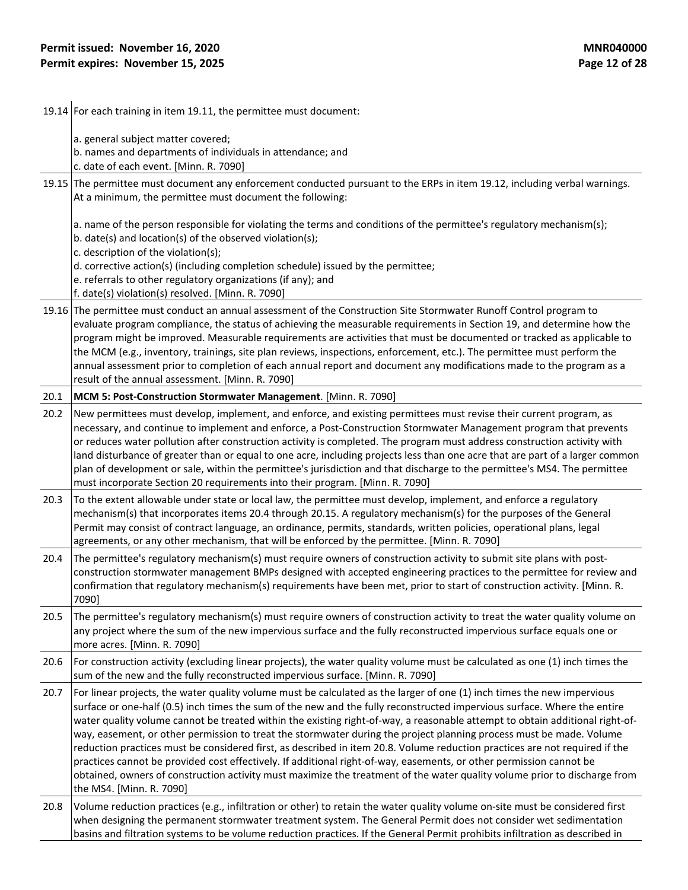19.14 For each training in item 19.11, the permittee must document:

a. general subject matter covered;

b. names and departments of individuals in attendance; and

c. date of each event. [Minn. R. 7090]

19.15 The permittee must document any enforcement conducted pursuant to the ERPs in item 19.12, including verbal warnings. At a minimum, the permittee must document the following:

a. name of the person responsible for violating the terms and conditions of the permittee's regulatory mechanism(s);

b. date(s) and location(s) of the observed violation(s);

c. description of the violation(s);

d. corrective action(s) (including completion schedule) issued by the permittee;

e. referrals to other regulatory organizations (if any); and

f. date(s) violation(s) resolved. [Minn. R. 7090]

19.16 The permittee must conduct an annual assessment of the Construction Site Stormwater Runoff Control program to evaluate program compliance, the status of achieving the measurable requirements in Section 19, and determine how the program might be improved. Measurable requirements are activities that must be documented or tracked as applicable to the MCM (e.g., inventory, trainings, site plan reviews, inspections, enforcement, etc.). The permittee must perform the annual assessment prior to completion of each annual report and document any modifications made to the program as a result of the annual assessment. [Minn. R. 7090]

#### 20.1 **MCM 5: Post-Construction Stormwater Management**. [Minn. R. 7090]

20.2 New permittees must develop, implement, and enforce, and existing permittees must revise their current program, as necessary, and continue to implement and enforce, a Post-Construction Stormwater Management program that prevents or reduces water pollution after construction activity is completed. The program must address construction activity with land disturbance of greater than or equal to one acre, including projects less than one acre that are part of a larger common plan of development or sale, within the permittee's jurisdiction and that discharge to the permittee's MS4. The permittee must incorporate Section 20 requirements into their program. [Minn. R. 7090]

- 20.3 To the extent allowable under state or local law, the permittee must develop, implement, and enforce a regulatory mechanism(s) that incorporates items 20.4 through 20.15. A regulatory mechanism(s) for the purposes of the General Permit may consist of contract language, an ordinance, permits, standards, written policies, operational plans, legal agreements, or any other mechanism, that will be enforced by the permittee. [Minn. R. 7090]
- 20.4 The permittee's regulatory mechanism(s) must require owners of construction activity to submit site plans with postconstruction stormwater management BMPs designed with accepted engineering practices to the permittee for review and confirmation that regulatory mechanism(s) requirements have been met, prior to start of construction activity. [Minn. R. 7090]

20.5 The permittee's regulatory mechanism(s) must require owners of construction activity to treat the water quality volume on any project where the sum of the new impervious surface and the fully reconstructed impervious surface equals one or more acres. [Minn. R. 7090]

20.6 For construction activity (excluding linear projects), the water quality volume must be calculated as one (1) inch times the sum of the new and the fully reconstructed impervious surface. [Minn. R. 7090]

20.7 For linear projects, the water quality volume must be calculated as the larger of one  $(1)$  inch times the new impervious surface or one-half (0.5) inch times the sum of the new and the fully reconstructed impervious surface. Where the entire water quality volume cannot be treated within the existing right-of-way, a reasonable attempt to obtain additional right-ofway, easement, or other permission to treat the stormwater during the project planning process must be made. Volume reduction practices must be considered first, as described in item 20.8. Volume reduction practices are not required if the practices cannot be provided cost effectively. If additional right-of-way, easements, or other permission cannot be obtained, owners of construction activity must maximize the treatment of the water quality volume prior to discharge from the MS4. [Minn. R. 7090]

20.8 Volume reduction practices (e.g., infiltration or other) to retain the water quality volume on-site must be considered first when designing the permanent stormwater treatment system. The General Permit does not consider wet sedimentation basins and filtration systems to be volume reduction practices. If the General Permit prohibits infiltration as described in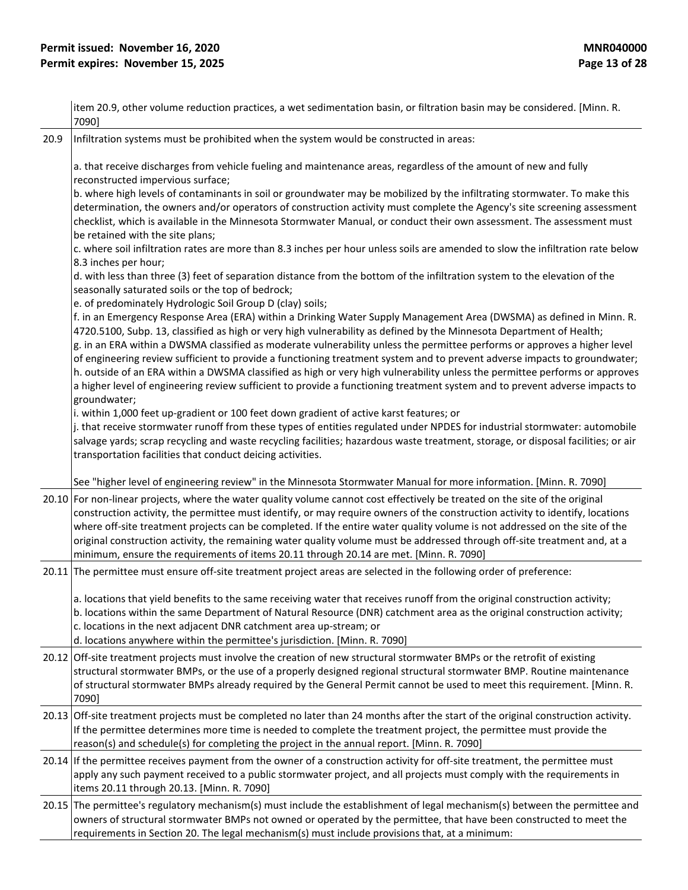|      | item 20.9, other volume reduction practices, a wet sedimentation basin, or filtration basin may be considered. [Minn. R.<br>7090]                                                                                                                                                                                                                                                                                                                                                                                                                                                                                                                                                                                                                                                    |
|------|--------------------------------------------------------------------------------------------------------------------------------------------------------------------------------------------------------------------------------------------------------------------------------------------------------------------------------------------------------------------------------------------------------------------------------------------------------------------------------------------------------------------------------------------------------------------------------------------------------------------------------------------------------------------------------------------------------------------------------------------------------------------------------------|
| 20.9 | Infiltration systems must be prohibited when the system would be constructed in areas:                                                                                                                                                                                                                                                                                                                                                                                                                                                                                                                                                                                                                                                                                               |
|      | a. that receive discharges from vehicle fueling and maintenance areas, regardless of the amount of new and fully<br>reconstructed impervious surface;<br>b. where high levels of contaminants in soil or groundwater may be mobilized by the infiltrating stormwater. To make this<br>determination, the owners and/or operators of construction activity must complete the Agency's site screening assessment<br>checklist, which is available in the Minnesota Stormwater Manual, or conduct their own assessment. The assessment must                                                                                                                                                                                                                                             |
|      | be retained with the site plans;<br>c. where soil infiltration rates are more than 8.3 inches per hour unless soils are amended to slow the infiltration rate below<br>8.3 inches per hour;                                                                                                                                                                                                                                                                                                                                                                                                                                                                                                                                                                                          |
|      | d. with less than three (3) feet of separation distance from the bottom of the infiltration system to the elevation of the<br>seasonally saturated soils or the top of bedrock;<br>e. of predominately Hydrologic Soil Group D (clay) soils;                                                                                                                                                                                                                                                                                                                                                                                                                                                                                                                                         |
|      | f. in an Emergency Response Area (ERA) within a Drinking Water Supply Management Area (DWSMA) as defined in Minn. R.<br>4720.5100, Subp. 13, classified as high or very high vulnerability as defined by the Minnesota Department of Health;<br>g. in an ERA within a DWSMA classified as moderate vulnerability unless the permittee performs or approves a higher level<br>of engineering review sufficient to provide a functioning treatment system and to prevent adverse impacts to groundwater;<br>h. outside of an ERA within a DWSMA classified as high or very high vulnerability unless the permittee performs or approves<br>a higher level of engineering review sufficient to provide a functioning treatment system and to prevent adverse impacts to<br>groundwater; |
|      | i. within 1,000 feet up-gradient or 100 feet down gradient of active karst features; or<br>j. that receive stormwater runoff from these types of entities regulated under NPDES for industrial stormwater: automobile<br>salvage yards; scrap recycling and waste recycling facilities; hazardous waste treatment, storage, or disposal facilities; or air<br>transportation facilities that conduct deicing activities.                                                                                                                                                                                                                                                                                                                                                             |
|      | See "higher level of engineering review" in the Minnesota Stormwater Manual for more information. [Minn. R. 7090]                                                                                                                                                                                                                                                                                                                                                                                                                                                                                                                                                                                                                                                                    |
|      | 20.10 For non-linear projects, where the water quality volume cannot cost effectively be treated on the site of the original<br>construction activity, the permittee must identify, or may require owners of the construction activity to identify, locations<br>where off-site treatment projects can be completed. If the entire water quality volume is not addressed on the site of the<br>original construction activity, the remaining water quality volume must be addressed through off-site treatment and, at a<br>minimum, ensure the requirements of items 20.11 through 20.14 are met. [Minn. R. 7090]                                                                                                                                                                   |
|      | 20.11 The permittee must ensure off-site treatment project areas are selected in the following order of preference:                                                                                                                                                                                                                                                                                                                                                                                                                                                                                                                                                                                                                                                                  |
|      | a. locations that yield benefits to the same receiving water that receives runoff from the original construction activity;<br>b. locations within the same Department of Natural Resource (DNR) catchment area as the original construction activity;<br>c. locations in the next adjacent DNR catchment area up-stream; or<br>d. locations anywhere within the permittee's jurisdiction. [Minn. R. 7090]                                                                                                                                                                                                                                                                                                                                                                            |
|      | 20.12 Off-site treatment projects must involve the creation of new structural stormwater BMPs or the retrofit of existing<br>structural stormwater BMPs, or the use of a properly designed regional structural stormwater BMP. Routine maintenance<br>of structural stormwater BMPs already required by the General Permit cannot be used to meet this requirement. [Minn. R.<br>7090]                                                                                                                                                                                                                                                                                                                                                                                               |
|      | 20.13 Off-site treatment projects must be completed no later than 24 months after the start of the original construction activity.<br>If the permittee determines more time is needed to complete the treatment project, the permittee must provide the<br>reason(s) and schedule(s) for completing the project in the annual report. [Minn. R. 7090]                                                                                                                                                                                                                                                                                                                                                                                                                                |
|      | 20.14 If the permittee receives payment from the owner of a construction activity for off-site treatment, the permittee must<br>apply any such payment received to a public stormwater project, and all projects must comply with the requirements in<br>items 20.11 through 20.13. [Minn. R. 7090]                                                                                                                                                                                                                                                                                                                                                                                                                                                                                  |
|      | 20.15 The permittee's regulatory mechanism(s) must include the establishment of legal mechanism(s) between the permittee and<br>owners of structural stormwater BMPs not owned or operated by the permittee, that have been constructed to meet the<br>requirements in Section 20. The legal mechanism(s) must include provisions that, at a minimum:                                                                                                                                                                                                                                                                                                                                                                                                                                |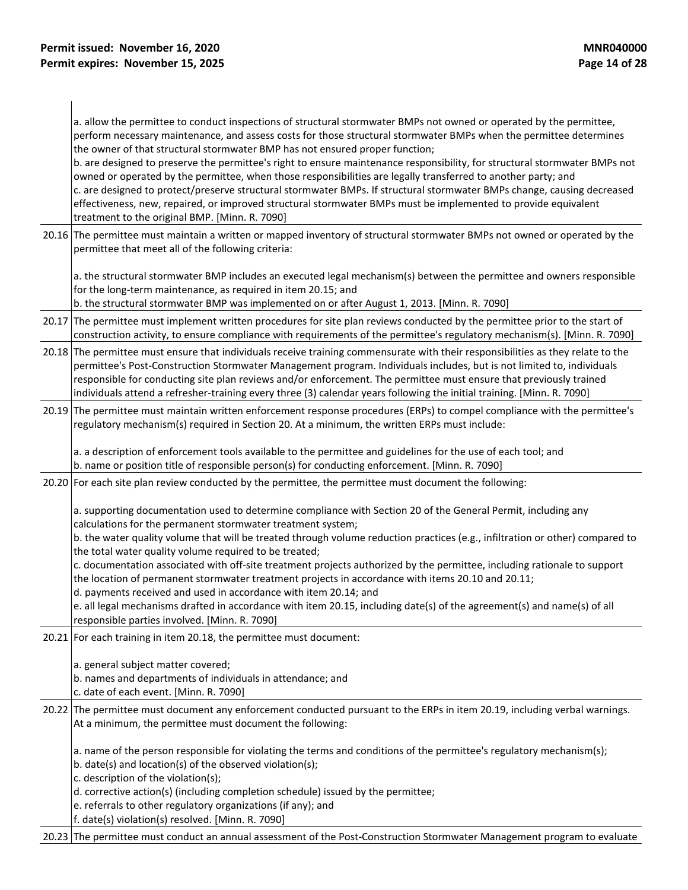a. allow the permittee to conduct inspections of structural stormwater BMPs not owned or operated by the permittee, perform necessary maintenance, and assess costs for those structural stormwater BMPs when the permittee determines the owner of that structural stormwater BMP has not ensured proper function;

b. are designed to preserve the permittee's right to ensure maintenance responsibility, for structural stormwater BMPs not owned or operated by the permittee, when those responsibilities are legally transferred to another party; and c. are designed to protect/preserve structural stormwater BMPs. If structural stormwater BMPs change, causing decreased effectiveness, new, repaired, or improved structural stormwater BMPs must be implemented to provide equivalent treatment to the original BMP. [Minn. R. 7090]

20.16 The permittee must maintain a written or mapped inventory of structural stormwater BMPs not owned or operated by the permittee that meet all of the following criteria:

a. the structural stormwater BMP includes an executed legal mechanism(s) between the permittee and owners responsible for the long-term maintenance, as required in item 20.15; and

b. the structural stormwater BMP was implemented on or after August 1, 2013. [Minn. R. 7090]

- 20.17 The permittee must implement written procedures for site plan reviews conducted by the permittee prior to the start of construction activity, to ensure compliance with requirements of the permittee's regulatory mechanism(s). [Minn. R. 7090]
- 20.18 The permittee must ensure that individuals receive training commensurate with their responsibilities as they relate to the permittee's Post-Construction Stormwater Management program. Individuals includes, but is not limited to, individuals responsible for conducting site plan reviews and/or enforcement. The permittee must ensure that previously trained individuals attend a refresher-training every three (3) calendar years following the initial training. [Minn. R. 7090]
- 20.19 The permittee must maintain written enforcement response procedures (ERPs) to compel compliance with the permittee's regulatory mechanism(s) required in Section 20. At a minimum, the written ERPs must include:

a. a description of enforcement tools available to the permittee and guidelines for the use of each tool; and b. name or position title of responsible person(s) for conducting enforcement. [Minn. R. 7090]

20.20 For each site plan review conducted by the permittee, the permittee must document the following:

a. supporting documentation used to determine compliance with Section 20 of the General Permit, including any calculations for the permanent stormwater treatment system;

b. the water quality volume that will be treated through volume reduction practices (e.g., infiltration or other) compared to the total water quality volume required to be treated;

c. documentation associated with off-site treatment projects authorized by the permittee, including rationale to support the location of permanent stormwater treatment projects in accordance with items 20.10 and 20.11;

d. payments received and used in accordance with item 20.14; and

e. all legal mechanisms drafted in accordance with item 20.15, including date(s) of the agreement(s) and name(s) of all responsible parties involved. [Minn. R. 7090]

20.21 For each training in item 20.18, the permittee must document:

a. general subject matter covered;

b. names and departments of individuals in attendance; and

c. date of each event. [Minn. R. 7090]

20.22 The permittee must document any enforcement conducted pursuant to the ERPs in item 20.19, including verbal warnings. At a minimum, the permittee must document the following:

a. name of the person responsible for violating the terms and conditions of the permittee's regulatory mechanism(s);

b. date(s) and location(s) of the observed violation(s);

c. description of the violation(s);

- d. corrective action(s) (including completion schedule) issued by the permittee;
- e. referrals to other regulatory organizations (if any); and

f. date(s) violation(s) resolved. [Minn. R. 7090]

20.23 The permittee must conduct an annual assessment of the Post-Construction Stormwater Management program to evaluate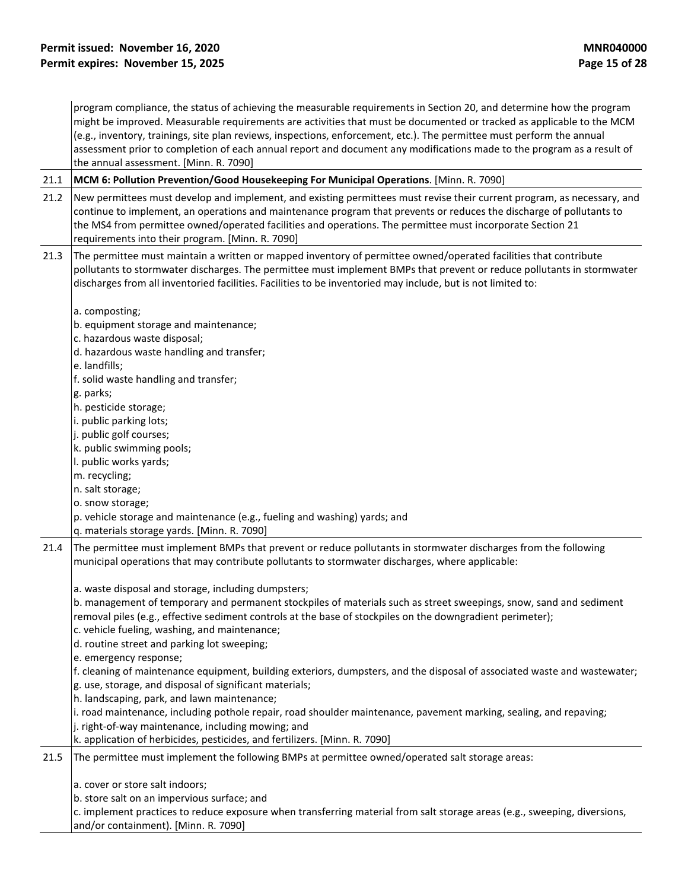program compliance, the status of achieving the measurable requirements in Section 20, and determine how the program might be improved. Measurable requirements are activities that must be documented or tracked as applicable to the MCM (e.g., inventory, trainings, site plan reviews, inspections, enforcement, etc.). The permittee must perform the annual assessment prior to completion of each annual report and document any modifications made to the program as a result of the annual assessment. [Minn. R. 7090]

21.1 **MCM 6: Pollution Prevention/Good Housekeeping For Municipal Operations**. [Minn. R. 7090]

| 21.2 | New permittees must develop and implement, and existing permittees must revise their current program, as necessary, and<br>continue to implement, an operations and maintenance program that prevents or reduces the discharge of pollutants to<br>the MS4 from permittee owned/operated facilities and operations. The permittee must incorporate Section 21<br>requirements into their program. [Minn. R. 7090] |
|------|-------------------------------------------------------------------------------------------------------------------------------------------------------------------------------------------------------------------------------------------------------------------------------------------------------------------------------------------------------------------------------------------------------------------|
| 21.3 | The permittee must maintain a written or mapped inventory of permittee owned/operated facilities that contribute<br>pollutants to stormwater discharges. The permittee must implement BMPs that prevent or reduce pollutants in stormwater<br>discharges from all inventoried facilities. Facilities to be inventoried may include, but is not limited to:                                                        |
|      | a. composting;                                                                                                                                                                                                                                                                                                                                                                                                    |
|      | b. equipment storage and maintenance;                                                                                                                                                                                                                                                                                                                                                                             |
|      | c. hazardous waste disposal;                                                                                                                                                                                                                                                                                                                                                                                      |
|      | d. hazardous waste handling and transfer;                                                                                                                                                                                                                                                                                                                                                                         |
|      | e. landfills;                                                                                                                                                                                                                                                                                                                                                                                                     |
|      | f. solid waste handling and transfer;                                                                                                                                                                                                                                                                                                                                                                             |
|      | g. parks;                                                                                                                                                                                                                                                                                                                                                                                                         |
|      | h. pesticide storage;                                                                                                                                                                                                                                                                                                                                                                                             |
|      | i. public parking lots;                                                                                                                                                                                                                                                                                                                                                                                           |
|      | j. public golf courses;                                                                                                                                                                                                                                                                                                                                                                                           |
|      | k. public swimming pools;                                                                                                                                                                                                                                                                                                                                                                                         |
|      | I. public works yards;                                                                                                                                                                                                                                                                                                                                                                                            |
|      | m. recycling;                                                                                                                                                                                                                                                                                                                                                                                                     |
|      | n. salt storage;                                                                                                                                                                                                                                                                                                                                                                                                  |
|      | o. snow storage;                                                                                                                                                                                                                                                                                                                                                                                                  |
|      | p. vehicle storage and maintenance (e.g., fueling and washing) yards; and<br>q. materials storage yards. [Minn. R. 7090]                                                                                                                                                                                                                                                                                          |
| 21.4 | The permittee must implement BMPs that prevent or reduce pollutants in stormwater discharges from the following<br>municipal operations that may contribute pollutants to stormwater discharges, where applicable:                                                                                                                                                                                                |
|      | a. waste disposal and storage, including dumpsters;                                                                                                                                                                                                                                                                                                                                                               |
|      | b. management of temporary and permanent stockpiles of materials such as street sweepings, snow, sand and sediment<br>removal piles (e.g., effective sediment controls at the base of stockpiles on the downgradient perimeter);                                                                                                                                                                                  |
|      | c. vehicle fueling, washing, and maintenance;                                                                                                                                                                                                                                                                                                                                                                     |
|      | d. routine street and parking lot sweeping;                                                                                                                                                                                                                                                                                                                                                                       |
|      | e. emergency response;                                                                                                                                                                                                                                                                                                                                                                                            |
|      | f. cleaning of maintenance equipment, building exteriors, dumpsters, and the disposal of associated waste and wastewater;                                                                                                                                                                                                                                                                                         |
|      | g. use, storage, and disposal of significant materials;                                                                                                                                                                                                                                                                                                                                                           |
|      | h. landscaping, park, and lawn maintenance;                                                                                                                                                                                                                                                                                                                                                                       |
|      | i. road maintenance, including pothole repair, road shoulder maintenance, pavement marking, sealing, and repaving;                                                                                                                                                                                                                                                                                                |
|      | j. right-of-way maintenance, including mowing; and                                                                                                                                                                                                                                                                                                                                                                |
|      | k. application of herbicides, pesticides, and fertilizers. [Minn. R. 7090]                                                                                                                                                                                                                                                                                                                                        |
| 21.5 | The permittee must implement the following BMPs at permittee owned/operated salt storage areas:                                                                                                                                                                                                                                                                                                                   |
|      | a. cover or store salt indoors;                                                                                                                                                                                                                                                                                                                                                                                   |
|      | b. store salt on an impervious surface; and                                                                                                                                                                                                                                                                                                                                                                       |
|      | c. implement practices to reduce exposure when transferring material from salt storage areas (e.g., sweeping, diversions,                                                                                                                                                                                                                                                                                         |
|      | and/or containment). [Minn. R. 7090]                                                                                                                                                                                                                                                                                                                                                                              |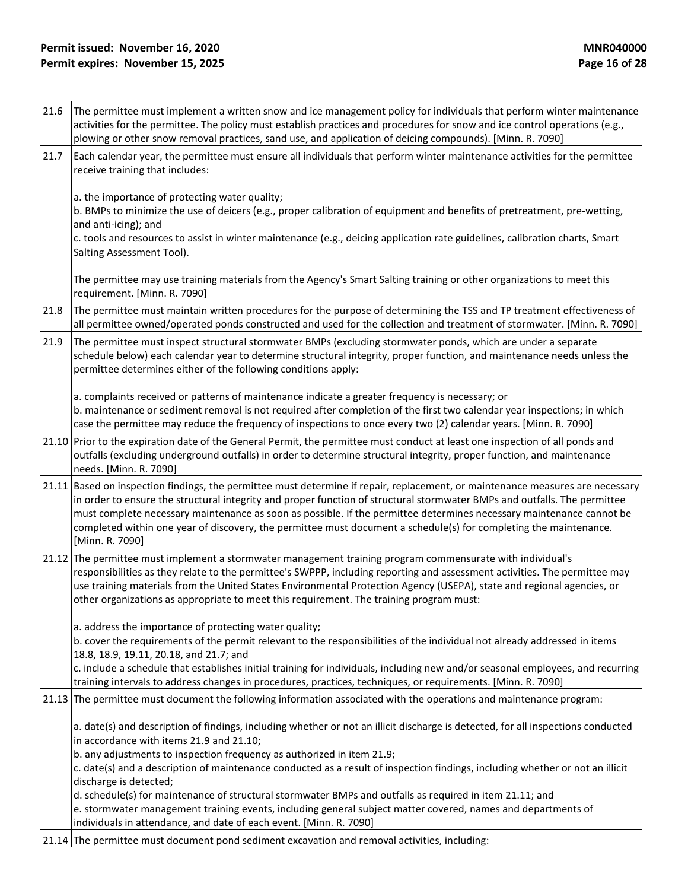## **Permit issued: November 16, 2020**<br> **Permit expires: November 15, 2025**<br> **Permit expires: November 15, 2025 Permit expires: November 15, 2025**

|      | The permittee must implement a written snow and ice management policy for individuals that perform winter maintenance                                                                                                                                                                                                                                                                                                                                                                                                       |
|------|-----------------------------------------------------------------------------------------------------------------------------------------------------------------------------------------------------------------------------------------------------------------------------------------------------------------------------------------------------------------------------------------------------------------------------------------------------------------------------------------------------------------------------|
| 21.6 | activities for the permittee. The policy must establish practices and procedures for snow and ice control operations (e.g.,<br>plowing or other snow removal practices, sand use, and application of deicing compounds). [Minn. R. 7090]                                                                                                                                                                                                                                                                                    |
| 21.7 | Each calendar year, the permittee must ensure all individuals that perform winter maintenance activities for the permittee<br>receive training that includes:                                                                                                                                                                                                                                                                                                                                                               |
|      | a. the importance of protecting water quality;<br>b. BMPs to minimize the use of deicers (e.g., proper calibration of equipment and benefits of pretreatment, pre-wetting,<br>and anti-icing); and<br>c. tools and resources to assist in winter maintenance (e.g., deicing application rate guidelines, calibration charts, Smart                                                                                                                                                                                          |
|      | Salting Assessment Tool).                                                                                                                                                                                                                                                                                                                                                                                                                                                                                                   |
|      | The permittee may use training materials from the Agency's Smart Salting training or other organizations to meet this<br>requirement. [Minn. R. 7090]                                                                                                                                                                                                                                                                                                                                                                       |
| 21.8 | The permittee must maintain written procedures for the purpose of determining the TSS and TP treatment effectiveness of<br>all permittee owned/operated ponds constructed and used for the collection and treatment of stormwater. [Minn. R. 7090]                                                                                                                                                                                                                                                                          |
| 21.9 | The permittee must inspect structural stormwater BMPs (excluding stormwater ponds, which are under a separate<br>schedule below) each calendar year to determine structural integrity, proper function, and maintenance needs unless the<br>permittee determines either of the following conditions apply:                                                                                                                                                                                                                  |
|      | a. complaints received or patterns of maintenance indicate a greater frequency is necessary; or<br>b. maintenance or sediment removal is not required after completion of the first two calendar year inspections; in which<br>case the permittee may reduce the frequency of inspections to once every two (2) calendar years. [Minn. R. 7090]                                                                                                                                                                             |
|      | 21.10 Prior to the expiration date of the General Permit, the permittee must conduct at least one inspection of all ponds and<br>outfalls (excluding underground outfalls) in order to determine structural integrity, proper function, and maintenance<br>needs. [Minn. R. 7090]                                                                                                                                                                                                                                           |
|      | 21.11 Based on inspection findings, the permittee must determine if repair, replacement, or maintenance measures are necessary<br>in order to ensure the structural integrity and proper function of structural stormwater BMPs and outfalls. The permittee<br>must complete necessary maintenance as soon as possible. If the permittee determines necessary maintenance cannot be<br>completed within one year of discovery, the permittee must document a schedule(s) for completing the maintenance.<br>[Minn. R. 7090] |
|      | 21.12 The permittee must implement a stormwater management training program commensurate with individual's<br>responsibilities as they relate to the permittee's SWPPP, including reporting and assessment activities. The permittee may<br>use training materials from the United States Environmental Protection Agency (USEPA), state and regional agencies, or<br>other organizations as appropriate to meet this requirement. The training program must:                                                               |
|      | a. address the importance of protecting water quality;<br>b. cover the requirements of the permit relevant to the responsibilities of the individual not already addressed in items<br>18.8, 18.9, 19.11, 20.18, and 21.7; and                                                                                                                                                                                                                                                                                              |
|      | c. include a schedule that establishes initial training for individuals, including new and/or seasonal employees, and recurring<br>training intervals to address changes in procedures, practices, techniques, or requirements. [Minn. R. 7090]                                                                                                                                                                                                                                                                             |
|      | 21.13 The permittee must document the following information associated with the operations and maintenance program:                                                                                                                                                                                                                                                                                                                                                                                                         |
|      | a. date(s) and description of findings, including whether or not an illicit discharge is detected, for all inspections conducted<br>in accordance with items 21.9 and 21.10;<br>b. any adjustments to inspection frequency as authorized in item 21.9;                                                                                                                                                                                                                                                                      |
|      | c. date(s) and a description of maintenance conducted as a result of inspection findings, including whether or not an illicit<br>discharge is detected;                                                                                                                                                                                                                                                                                                                                                                     |
|      | d. schedule(s) for maintenance of structural stormwater BMPs and outfalls as required in item 21.11; and<br>e. stormwater management training events, including general subject matter covered, names and departments of<br>individuals in attendance, and date of each event. [Minn. R. 7090]                                                                                                                                                                                                                              |
|      | 21.14 The permittee must document pond sediment excavation and removal activities, including:                                                                                                                                                                                                                                                                                                                                                                                                                               |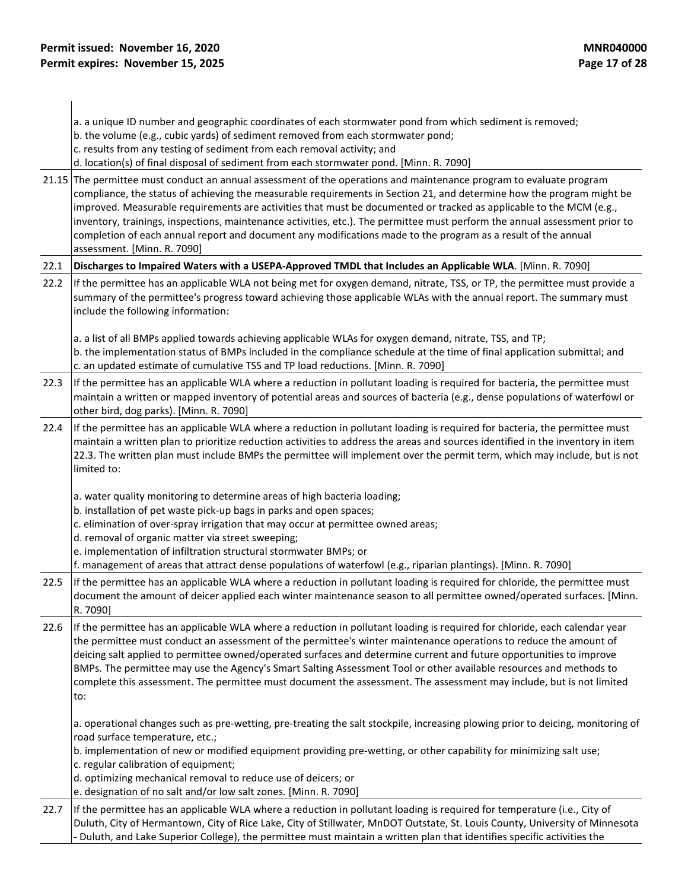|      | a. a unique ID number and geographic coordinates of each stormwater pond from which sediment is removed;<br>b. the volume (e.g., cubic yards) of sediment removed from each stormwater pond;<br>c. results from any testing of sediment from each removal activity; and                                                                                                                                                                                                                                                                                                                                                                            |
|------|----------------------------------------------------------------------------------------------------------------------------------------------------------------------------------------------------------------------------------------------------------------------------------------------------------------------------------------------------------------------------------------------------------------------------------------------------------------------------------------------------------------------------------------------------------------------------------------------------------------------------------------------------|
|      | d. location(s) of final disposal of sediment from each stormwater pond. [Minn. R. 7090]                                                                                                                                                                                                                                                                                                                                                                                                                                                                                                                                                            |
|      | 21.15 The permittee must conduct an annual assessment of the operations and maintenance program to evaluate program<br>compliance, the status of achieving the measurable requirements in Section 21, and determine how the program might be<br>improved. Measurable requirements are activities that must be documented or tracked as applicable to the MCM (e.g.,<br>inventory, trainings, inspections, maintenance activities, etc.). The permittee must perform the annual assessment prior to<br>completion of each annual report and document any modifications made to the program as a result of the annual<br>assessment. [Minn. R. 7090] |
| 22.1 | Discharges to Impaired Waters with a USEPA-Approved TMDL that Includes an Applicable WLA. [Minn. R. 7090]                                                                                                                                                                                                                                                                                                                                                                                                                                                                                                                                          |
| 22.2 | If the permittee has an applicable WLA not being met for oxygen demand, nitrate, TSS, or TP, the permittee must provide a<br>summary of the permittee's progress toward achieving those applicable WLAs with the annual report. The summary must<br>include the following information:                                                                                                                                                                                                                                                                                                                                                             |
|      | a. a list of all BMPs applied towards achieving applicable WLAs for oxygen demand, nitrate, TSS, and TP;<br>b. the implementation status of BMPs included in the compliance schedule at the time of final application submittal; and<br>c. an updated estimate of cumulative TSS and TP load reductions. [Minn. R. 7090]                                                                                                                                                                                                                                                                                                                           |
| 22.3 | If the permittee has an applicable WLA where a reduction in pollutant loading is required for bacteria, the permittee must<br>maintain a written or mapped inventory of potential areas and sources of bacteria (e.g., dense populations of waterfowl or<br>other bird, dog parks). [Minn. R. 7090]                                                                                                                                                                                                                                                                                                                                                |
| 22.4 | If the permittee has an applicable WLA where a reduction in pollutant loading is required for bacteria, the permittee must<br>maintain a written plan to prioritize reduction activities to address the areas and sources identified in the inventory in item<br>22.3. The written plan must include BMPs the permittee will implement over the permit term, which may include, but is not<br>limited to:                                                                                                                                                                                                                                          |
|      | a. water quality monitoring to determine areas of high bacteria loading;<br>b. installation of pet waste pick-up bags in parks and open spaces;<br>c. elimination of over-spray irrigation that may occur at permittee owned areas;<br>d. removal of organic matter via street sweeping;<br>e. implementation of infiltration structural stormwater BMPs; or<br>f. management of areas that attract dense populations of waterfowl (e.g., riparian plantings). [Minn. R. 7090]                                                                                                                                                                     |
| 22.5 | If the permittee has an applicable WLA where a reduction in pollutant loading is required for chloride, the permittee must<br>document the amount of deicer applied each winter maintenance season to all permittee owned/operated surfaces. [Minn.<br>R. 7090]                                                                                                                                                                                                                                                                                                                                                                                    |
| 22.6 | If the permittee has an applicable WLA where a reduction in pollutant loading is required for chloride, each calendar year<br>the permittee must conduct an assessment of the permittee's winter maintenance operations to reduce the amount of<br>deicing salt applied to permittee owned/operated surfaces and determine current and future opportunities to improve<br>BMPs. The permittee may use the Agency's Smart Salting Assessment Tool or other available resources and methods to<br>complete this assessment. The permittee must document the assessment. The assessment may include, but is not limited<br>to:                        |
|      | a. operational changes such as pre-wetting, pre-treating the salt stockpile, increasing plowing prior to deicing, monitoring of<br>road surface temperature, etc.;<br>b. implementation of new or modified equipment providing pre-wetting, or other capability for minimizing salt use;                                                                                                                                                                                                                                                                                                                                                           |
|      | c. regular calibration of equipment;<br>d. optimizing mechanical removal to reduce use of deicers; or<br>e. designation of no salt and/or low salt zones. [Minn. R. 7090]                                                                                                                                                                                                                                                                                                                                                                                                                                                                          |
| 22.7 | If the permittee has an applicable WLA where a reduction in pollutant loading is required for temperature (i.e., City of<br>Duluth, City of Hermantown, City of Rice Lake, City of Stillwater, MnDOT Outstate, St. Louis County, University of Minnesota<br>- Duluth, and Lake Superior College), the permittee must maintain a written plan that identifies specific activities the                                                                                                                                                                                                                                                               |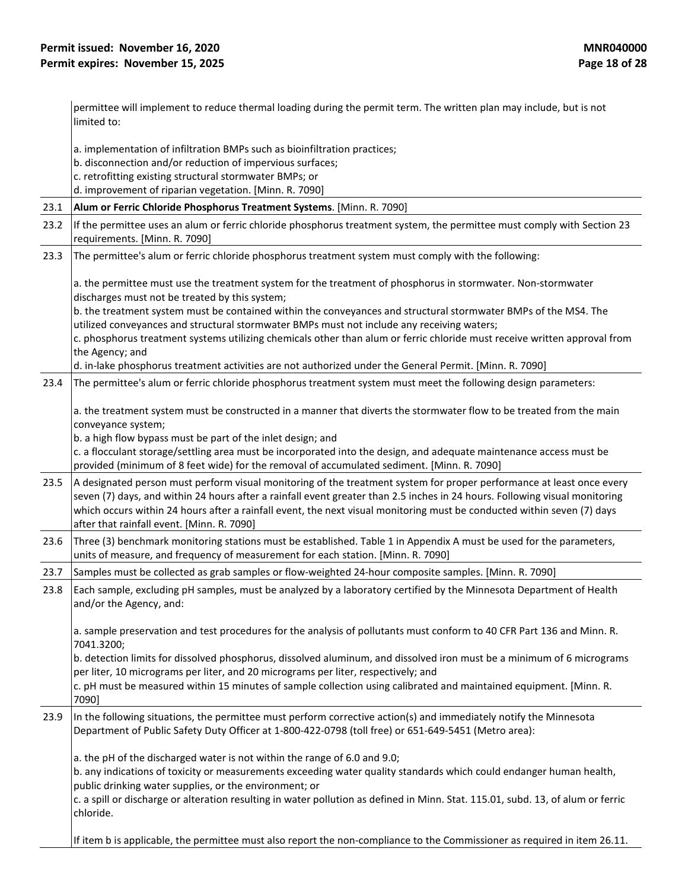|      | permittee will implement to reduce thermal loading during the permit term. The written plan may include, but is not                                                                                                                                                                                                                                                                                                           |  |  |
|------|-------------------------------------------------------------------------------------------------------------------------------------------------------------------------------------------------------------------------------------------------------------------------------------------------------------------------------------------------------------------------------------------------------------------------------|--|--|
|      | limited to:                                                                                                                                                                                                                                                                                                                                                                                                                   |  |  |
|      | a. implementation of infiltration BMPs such as bioinfiltration practices;                                                                                                                                                                                                                                                                                                                                                     |  |  |
|      | b. disconnection and/or reduction of impervious surfaces;                                                                                                                                                                                                                                                                                                                                                                     |  |  |
|      | c. retrofitting existing structural stormwater BMPs; or                                                                                                                                                                                                                                                                                                                                                                       |  |  |
|      | d. improvement of riparian vegetation. [Minn. R. 7090]                                                                                                                                                                                                                                                                                                                                                                        |  |  |
| 23.1 | Alum or Ferric Chloride Phosphorus Treatment Systems. [Minn. R. 7090]                                                                                                                                                                                                                                                                                                                                                         |  |  |
| 23.2 | If the permittee uses an alum or ferric chloride phosphorus treatment system, the permittee must comply with Section 23<br>requirements. [Minn. R. 7090]                                                                                                                                                                                                                                                                      |  |  |
| 23.3 | The permittee's alum or ferric chloride phosphorus treatment system must comply with the following:                                                                                                                                                                                                                                                                                                                           |  |  |
|      | a. the permittee must use the treatment system for the treatment of phosphorus in stormwater. Non-stormwater<br>discharges must not be treated by this system;                                                                                                                                                                                                                                                                |  |  |
|      | b. the treatment system must be contained within the conveyances and structural stormwater BMPs of the MS4. The                                                                                                                                                                                                                                                                                                               |  |  |
|      | utilized conveyances and structural stormwater BMPs must not include any receiving waters;                                                                                                                                                                                                                                                                                                                                    |  |  |
|      | c. phosphorus treatment systems utilizing chemicals other than alum or ferric chloride must receive written approval from<br>the Agency; and                                                                                                                                                                                                                                                                                  |  |  |
|      | d. in-lake phosphorus treatment activities are not authorized under the General Permit. [Minn. R. 7090]                                                                                                                                                                                                                                                                                                                       |  |  |
| 23.4 | The permittee's alum or ferric chloride phosphorus treatment system must meet the following design parameters:                                                                                                                                                                                                                                                                                                                |  |  |
|      | a. the treatment system must be constructed in a manner that diverts the stormwater flow to be treated from the main<br>conveyance system;<br>b. a high flow bypass must be part of the inlet design; and                                                                                                                                                                                                                     |  |  |
|      | c. a flocculant storage/settling area must be incorporated into the design, and adequate maintenance access must be                                                                                                                                                                                                                                                                                                           |  |  |
|      | provided (minimum of 8 feet wide) for the removal of accumulated sediment. [Minn. R. 7090]                                                                                                                                                                                                                                                                                                                                    |  |  |
| 23.5 | A designated person must perform visual monitoring of the treatment system for proper performance at least once every<br>seven (7) days, and within 24 hours after a rainfall event greater than 2.5 inches in 24 hours. Following visual monitoring<br>which occurs within 24 hours after a rainfall event, the next visual monitoring must be conducted within seven (7) days<br>after that rainfall event. [Minn. R. 7090] |  |  |
| 23.6 | Three (3) benchmark monitoring stations must be established. Table 1 in Appendix A must be used for the parameters,<br>units of measure, and frequency of measurement for each station. [Minn. R. 7090]                                                                                                                                                                                                                       |  |  |
| 23.7 | Samples must be collected as grab samples or flow-weighted 24-hour composite samples. [Minn. R. 7090]                                                                                                                                                                                                                                                                                                                         |  |  |
| 23.8 | Each sample, excluding pH samples, must be analyzed by a laboratory certified by the Minnesota Department of Health<br>and/or the Agency, and:                                                                                                                                                                                                                                                                                |  |  |
|      | a. sample preservation and test procedures for the analysis of pollutants must conform to 40 CFR Part 136 and Minn. R.<br>7041.3200;                                                                                                                                                                                                                                                                                          |  |  |
|      | b. detection limits for dissolved phosphorus, dissolved aluminum, and dissolved iron must be a minimum of 6 micrograms<br>per liter, 10 micrograms per liter, and 20 micrograms per liter, respectively; and                                                                                                                                                                                                                  |  |  |
|      | c. pH must be measured within 15 minutes of sample collection using calibrated and maintained equipment. [Minn. R.<br>7090]                                                                                                                                                                                                                                                                                                   |  |  |
| 23.9 | In the following situations, the permittee must perform corrective action(s) and immediately notify the Minnesota<br>Department of Public Safety Duty Officer at 1-800-422-0798 (toll free) or 651-649-5451 (Metro area):                                                                                                                                                                                                     |  |  |
|      | a. the pH of the discharged water is not within the range of 6.0 and 9.0;                                                                                                                                                                                                                                                                                                                                                     |  |  |
|      | b. any indications of toxicity or measurements exceeding water quality standards which could endanger human health,                                                                                                                                                                                                                                                                                                           |  |  |
|      | public drinking water supplies, or the environment; or                                                                                                                                                                                                                                                                                                                                                                        |  |  |
|      | c. a spill or discharge or alteration resulting in water pollution as defined in Minn. Stat. 115.01, subd. 13, of alum or ferric<br>chloride.                                                                                                                                                                                                                                                                                 |  |  |
|      | If item b is applicable, the permittee must also report the non-compliance to the Commissioner as required in item 26.11.                                                                                                                                                                                                                                                                                                     |  |  |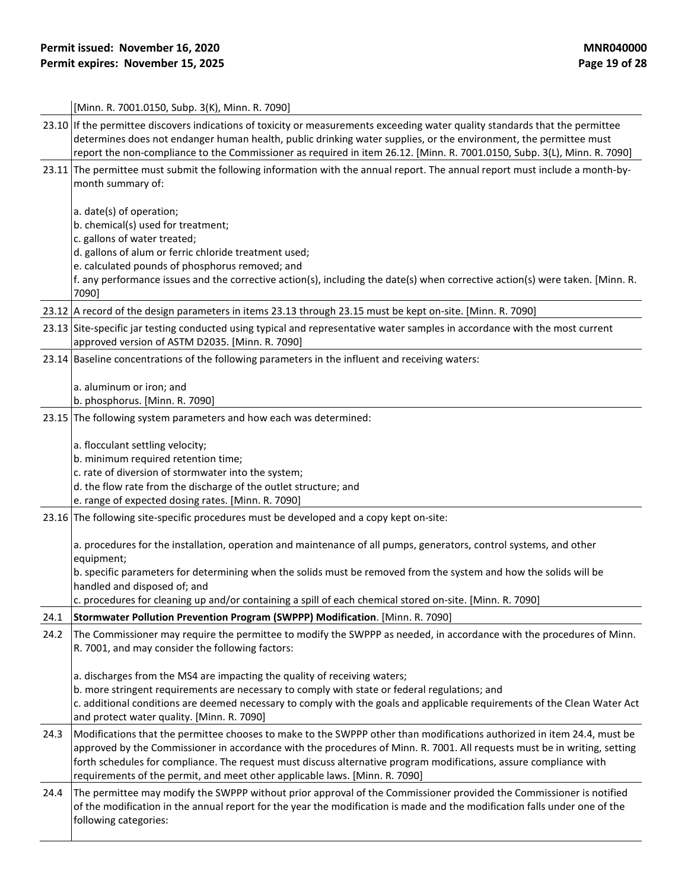|      | [Minn. R. 7001.0150, Subp. 3(K), Minn. R. 7090]                                                                                                                                                                                                                                                                                                                                                                                                           |  |  |
|------|-----------------------------------------------------------------------------------------------------------------------------------------------------------------------------------------------------------------------------------------------------------------------------------------------------------------------------------------------------------------------------------------------------------------------------------------------------------|--|--|
|      | 23.10 If the permittee discovers indications of toxicity or measurements exceeding water quality standards that the permittee<br>determines does not endanger human health, public drinking water supplies, or the environment, the permittee must<br>report the non-compliance to the Commissioner as required in item 26.12. [Minn. R. 7001.0150, Subp. 3(L), Minn. R. 7090]                                                                            |  |  |
|      | 23.11 The permittee must submit the following information with the annual report. The annual report must include a month-by-<br>month summary of:                                                                                                                                                                                                                                                                                                         |  |  |
|      | a. date(s) of operation;<br>b. chemical(s) used for treatment;<br>c. gallons of water treated;                                                                                                                                                                                                                                                                                                                                                            |  |  |
|      | d. gallons of alum or ferric chloride treatment used;<br>e. calculated pounds of phosphorus removed; and                                                                                                                                                                                                                                                                                                                                                  |  |  |
|      | f. any performance issues and the corrective action(s), including the date(s) when corrective action(s) were taken. [Minn. R.<br>7090]                                                                                                                                                                                                                                                                                                                    |  |  |
|      | 23.12 A record of the design parameters in items 23.13 through 23.15 must be kept on-site. [Minn. R. 7090]                                                                                                                                                                                                                                                                                                                                                |  |  |
|      | 23.13 Site-specific jar testing conducted using typical and representative water samples in accordance with the most current<br>approved version of ASTM D2035. [Minn. R. 7090]                                                                                                                                                                                                                                                                           |  |  |
|      | 23.14 Baseline concentrations of the following parameters in the influent and receiving waters:                                                                                                                                                                                                                                                                                                                                                           |  |  |
|      | a. aluminum or iron; and<br>b. phosphorus. [Minn. R. 7090]                                                                                                                                                                                                                                                                                                                                                                                                |  |  |
|      | 23.15 The following system parameters and how each was determined:                                                                                                                                                                                                                                                                                                                                                                                        |  |  |
|      | a. flocculant settling velocity;<br>b. minimum required retention time;                                                                                                                                                                                                                                                                                                                                                                                   |  |  |
|      | c. rate of diversion of stormwater into the system;                                                                                                                                                                                                                                                                                                                                                                                                       |  |  |
|      | d. the flow rate from the discharge of the outlet structure; and                                                                                                                                                                                                                                                                                                                                                                                          |  |  |
|      | e. range of expected dosing rates. [Minn. R. 7090]                                                                                                                                                                                                                                                                                                                                                                                                        |  |  |
|      | 23.16 The following site-specific procedures must be developed and a copy kept on-site:                                                                                                                                                                                                                                                                                                                                                                   |  |  |
|      | a. procedures for the installation, operation and maintenance of all pumps, generators, control systems, and other<br>equipment;                                                                                                                                                                                                                                                                                                                          |  |  |
|      | b. specific parameters for determining when the solids must be removed from the system and how the solids will be<br>handled and disposed of; and                                                                                                                                                                                                                                                                                                         |  |  |
|      | c. procedures for cleaning up and/or containing a spill of each chemical stored on-site. [Minn. R. 7090]                                                                                                                                                                                                                                                                                                                                                  |  |  |
| 24.1 | Stormwater Pollution Prevention Program (SWPPP) Modification. [Minn. R. 7090]                                                                                                                                                                                                                                                                                                                                                                             |  |  |
| 24.2 | The Commissioner may require the permittee to modify the SWPPP as needed, in accordance with the procedures of Minn.<br>R. 7001, and may consider the following factors:                                                                                                                                                                                                                                                                                  |  |  |
|      | a. discharges from the MS4 are impacting the quality of receiving waters;<br>b. more stringent requirements are necessary to comply with state or federal regulations; and<br>c. additional conditions are deemed necessary to comply with the goals and applicable requirements of the Clean Water Act<br>and protect water quality. [Minn. R. 7090]                                                                                                     |  |  |
| 24.3 | Modifications that the permittee chooses to make to the SWPPP other than modifications authorized in item 24.4, must be<br>approved by the Commissioner in accordance with the procedures of Minn. R. 7001. All requests must be in writing, setting<br>forth schedules for compliance. The request must discuss alternative program modifications, assure compliance with<br>requirements of the permit, and meet other applicable laws. [Minn. R. 7090] |  |  |
| 24.4 | The permittee may modify the SWPPP without prior approval of the Commissioner provided the Commissioner is notified<br>of the modification in the annual report for the year the modification is made and the modification falls under one of the<br>following categories:                                                                                                                                                                                |  |  |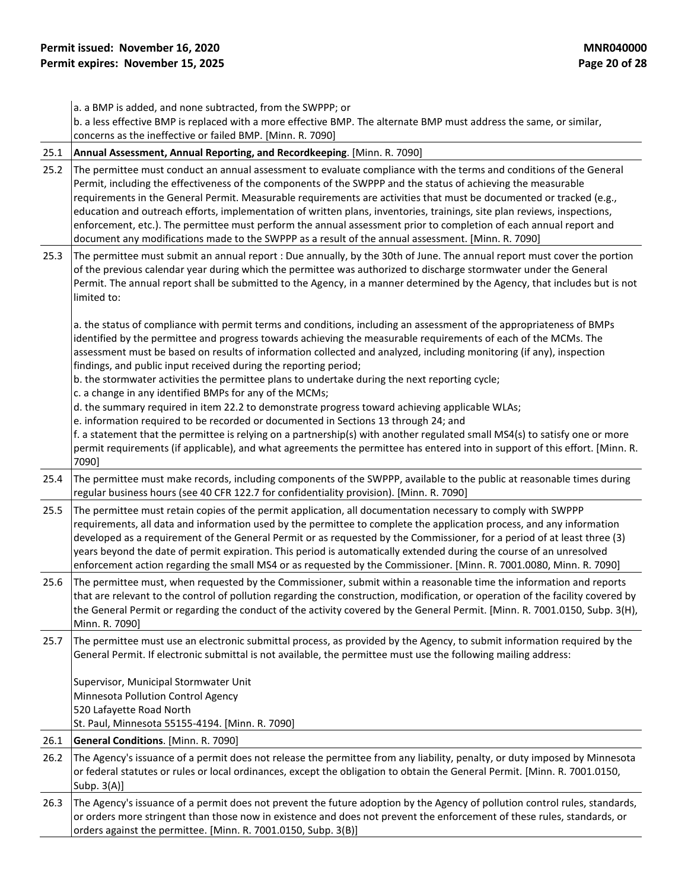|      | a. a BMP is added, and none subtracted, from the SWPPP; or<br>b. a less effective BMP is replaced with a more effective BMP. The alternate BMP must address the same, or similar,<br>concerns as the ineffective or failed BMP. [Minn. R. 7090]                                                                                                                                                                                                                                                                                                                                                                                                                                                                                                                                                                                                                                                                                                                                                                                                                   |  |  |
|------|-------------------------------------------------------------------------------------------------------------------------------------------------------------------------------------------------------------------------------------------------------------------------------------------------------------------------------------------------------------------------------------------------------------------------------------------------------------------------------------------------------------------------------------------------------------------------------------------------------------------------------------------------------------------------------------------------------------------------------------------------------------------------------------------------------------------------------------------------------------------------------------------------------------------------------------------------------------------------------------------------------------------------------------------------------------------|--|--|
| 25.1 | Annual Assessment, Annual Reporting, and Recordkeeping. [Minn. R. 7090]                                                                                                                                                                                                                                                                                                                                                                                                                                                                                                                                                                                                                                                                                                                                                                                                                                                                                                                                                                                           |  |  |
| 25.2 | The permittee must conduct an annual assessment to evaluate compliance with the terms and conditions of the General<br>Permit, including the effectiveness of the components of the SWPPP and the status of achieving the measurable<br>requirements in the General Permit. Measurable requirements are activities that must be documented or tracked (e.g.,<br>education and outreach efforts, implementation of written plans, inventories, trainings, site plan reviews, inspections,<br>enforcement, etc.). The permittee must perform the annual assessment prior to completion of each annual report and<br>document any modifications made to the SWPPP as a result of the annual assessment. [Minn. R. 7090]                                                                                                                                                                                                                                                                                                                                              |  |  |
| 25.3 | The permittee must submit an annual report : Due annually, by the 30th of June. The annual report must cover the portion<br>of the previous calendar year during which the permittee was authorized to discharge stormwater under the General<br>Permit. The annual report shall be submitted to the Agency, in a manner determined by the Agency, that includes but is not<br>limited to:                                                                                                                                                                                                                                                                                                                                                                                                                                                                                                                                                                                                                                                                        |  |  |
|      | a. the status of compliance with permit terms and conditions, including an assessment of the appropriateness of BMPs<br>identified by the permittee and progress towards achieving the measurable requirements of each of the MCMs. The<br>assessment must be based on results of information collected and analyzed, including monitoring (if any), inspection<br>findings, and public input received during the reporting period;<br>b. the stormwater activities the permittee plans to undertake during the next reporting cycle;<br>c. a change in any identified BMPs for any of the MCMs;<br>d. the summary required in item 22.2 to demonstrate progress toward achieving applicable WLAs;<br>e. information required to be recorded or documented in Sections 13 through 24; and<br>f. a statement that the permittee is relying on a partnership(s) with another regulated small MS4(s) to satisfy one or more<br>permit requirements (if applicable), and what agreements the permittee has entered into in support of this effort. [Minn. R.<br>7090] |  |  |
| 25.4 | The permittee must make records, including components of the SWPPP, available to the public at reasonable times during<br>regular business hours (see 40 CFR 122.7 for confidentiality provision). [Minn. R. 7090]                                                                                                                                                                                                                                                                                                                                                                                                                                                                                                                                                                                                                                                                                                                                                                                                                                                |  |  |
| 25.5 | The permittee must retain copies of the permit application, all documentation necessary to comply with SWPPP<br>requirements, all data and information used by the permittee to complete the application process, and any information<br>developed as a requirement of the General Permit or as requested by the Commissioner, for a period of at least three (3)<br>years beyond the date of permit expiration. This period is automatically extended during the course of an unresolved<br>enforcement action regarding the small MS4 or as requested by the Commissioner. [Minn. R. 7001.0080, Minn. R. 7090]                                                                                                                                                                                                                                                                                                                                                                                                                                                  |  |  |
| 25.6 | The permittee must, when requested by the Commissioner, submit within a reasonable time the information and reports<br>that are relevant to the control of pollution regarding the construction, modification, or operation of the facility covered by<br>the General Permit or regarding the conduct of the activity covered by the General Permit. [Minn. R. 7001.0150, Subp. 3(H),<br>Minn. R. 7090]                                                                                                                                                                                                                                                                                                                                                                                                                                                                                                                                                                                                                                                           |  |  |
| 25.7 | The permittee must use an electronic submittal process, as provided by the Agency, to submit information required by the<br>General Permit. If electronic submittal is not available, the permittee must use the following mailing address:<br>Supervisor, Municipal Stormwater Unit<br>Minnesota Pollution Control Agency<br>520 Lafayette Road North<br>St. Paul, Minnesota 55155-4194. [Minn. R. 7090]                                                                                                                                                                                                                                                                                                                                                                                                                                                                                                                                                                                                                                                         |  |  |
| 26.1 | General Conditions. [Minn. R. 7090]                                                                                                                                                                                                                                                                                                                                                                                                                                                                                                                                                                                                                                                                                                                                                                                                                                                                                                                                                                                                                               |  |  |
| 26.2 | The Agency's issuance of a permit does not release the permittee from any liability, penalty, or duty imposed by Minnesota<br>or federal statutes or rules or local ordinances, except the obligation to obtain the General Permit. [Minn. R. 7001.0150,<br>Subp. $3(A)$ ]                                                                                                                                                                                                                                                                                                                                                                                                                                                                                                                                                                                                                                                                                                                                                                                        |  |  |
| 26.3 | The Agency's issuance of a permit does not prevent the future adoption by the Agency of pollution control rules, standards,<br>or orders more stringent than those now in existence and does not prevent the enforcement of these rules, standards, or<br>orders against the permittee. [Minn. R. 7001.0150, Subp. 3(B)]                                                                                                                                                                                                                                                                                                                                                                                                                                                                                                                                                                                                                                                                                                                                          |  |  |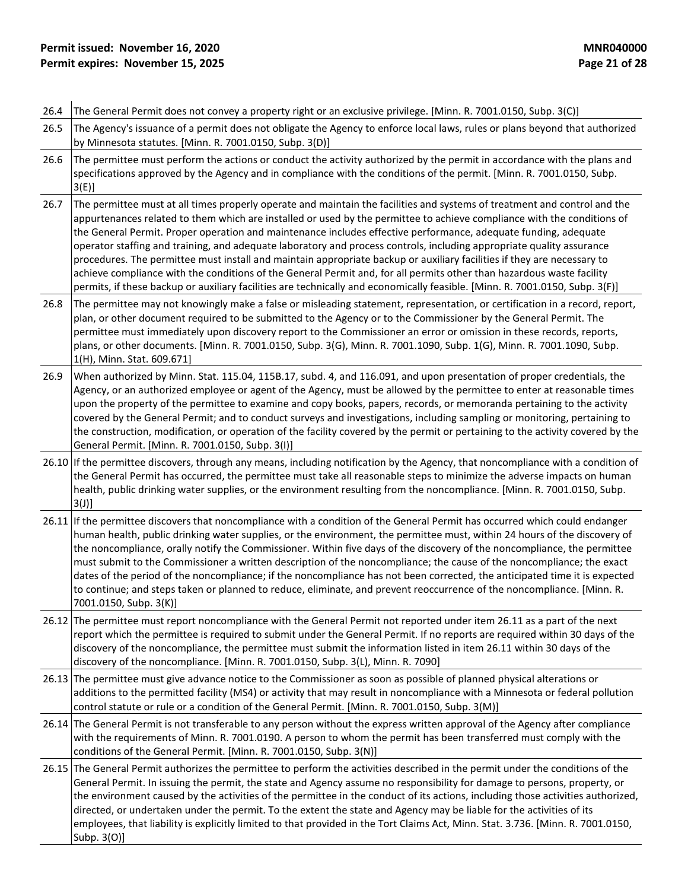# **Permit issued: November 16, 2020**<br> **Permit expires: November 15, 2025**<br> **Permit expires: November 15, 2025 Permit expires: November 15, 2025**

| 26.4 | The General Permit does not convey a property right or an exclusive privilege. [Minn. R. 7001.0150, Subp. 3(C)]                                                                                                                                                                                                                                                                                                                                                                                                                                                                                                                                                                                                                                                                                                                                                                      |
|------|--------------------------------------------------------------------------------------------------------------------------------------------------------------------------------------------------------------------------------------------------------------------------------------------------------------------------------------------------------------------------------------------------------------------------------------------------------------------------------------------------------------------------------------------------------------------------------------------------------------------------------------------------------------------------------------------------------------------------------------------------------------------------------------------------------------------------------------------------------------------------------------|
| 26.5 | The Agency's issuance of a permit does not obligate the Agency to enforce local laws, rules or plans beyond that authorized<br>by Minnesota statutes. [Minn. R. 7001.0150, Subp. 3(D)]                                                                                                                                                                                                                                                                                                                                                                                                                                                                                                                                                                                                                                                                                               |
| 26.6 | The permittee must perform the actions or conduct the activity authorized by the permit in accordance with the plans and<br>specifications approved by the Agency and in compliance with the conditions of the permit. [Minn. R. 7001.0150, Subp.<br>$3(E)$ ]                                                                                                                                                                                                                                                                                                                                                                                                                                                                                                                                                                                                                        |
| 26.7 | The permittee must at all times properly operate and maintain the facilities and systems of treatment and control and the<br>appurtenances related to them which are installed or used by the permittee to achieve compliance with the conditions of<br>the General Permit. Proper operation and maintenance includes effective performance, adequate funding, adequate<br>operator staffing and training, and adequate laboratory and process controls, including appropriate quality assurance<br>procedures. The permittee must install and maintain appropriate backup or auxiliary facilities if they are necessary to<br>achieve compliance with the conditions of the General Permit and, for all permits other than hazardous waste facility<br>permits, if these backup or auxiliary facilities are technically and economically feasible. [Minn. R. 7001.0150, Subp. 3(F)] |
| 26.8 | The permittee may not knowingly make a false or misleading statement, representation, or certification in a record, report,<br>plan, or other document required to be submitted to the Agency or to the Commissioner by the General Permit. The<br>permittee must immediately upon discovery report to the Commissioner an error or omission in these records, reports,<br>plans, or other documents. [Minn. R. 7001.0150, Subp. 3(G), Minn. R. 7001.1090, Subp. 1(G), Minn. R. 7001.1090, Subp.<br>1(H), Minn. Stat. 609.671]                                                                                                                                                                                                                                                                                                                                                       |
| 26.9 | When authorized by Minn. Stat. 115.04, 115B.17, subd. 4, and 116.091, and upon presentation of proper credentials, the<br>Agency, or an authorized employee or agent of the Agency, must be allowed by the permittee to enter at reasonable times<br>upon the property of the permittee to examine and copy books, papers, records, or memoranda pertaining to the activity<br>covered by the General Permit; and to conduct surveys and investigations, including sampling or monitoring, pertaining to<br>the construction, modification, or operation of the facility covered by the permit or pertaining to the activity covered by the<br>General Permit. [Minn. R. 7001.0150, Subp. 3(I)]                                                                                                                                                                                      |
|      | 26.10 If the permittee discovers, through any means, including notification by the Agency, that noncompliance with a condition of<br>the General Permit has occurred, the permittee must take all reasonable steps to minimize the adverse impacts on human<br>health, public drinking water supplies, or the environment resulting from the noncompliance. [Minn. R. 7001.0150, Subp.<br>$3(J)$ ]                                                                                                                                                                                                                                                                                                                                                                                                                                                                                   |
|      | 26.11 If the permittee discovers that noncompliance with a condition of the General Permit has occurred which could endanger<br>human health, public drinking water supplies, or the environment, the permittee must, within 24 hours of the discovery of<br>the noncompliance, orally notify the Commissioner. Within five days of the discovery of the noncompliance, the permittee<br>must submit to the Commissioner a written description of the noncompliance; the cause of the noncompliance; the exact<br>dates of the period of the noncompliance; if the noncompliance has not been corrected, the anticipated time it is expected<br>to continue; and steps taken or planned to reduce, eliminate, and prevent reoccurrence of the noncompliance. [Minn. R.<br>7001.0150, Subp. 3(K)]                                                                                     |
|      | 26.12 The permittee must report noncompliance with the General Permit not reported under item 26.11 as a part of the next<br>report which the permittee is required to submit under the General Permit. If no reports are required within 30 days of the<br>discovery of the noncompliance, the permittee must submit the information listed in item 26.11 within 30 days of the<br>discovery of the noncompliance. [Minn. R. 7001.0150, Subp. 3(L), Minn. R. 7090]                                                                                                                                                                                                                                                                                                                                                                                                                  |
|      | 26.13 The permittee must give advance notice to the Commissioner as soon as possible of planned physical alterations or<br>additions to the permitted facility (MS4) or activity that may result in noncompliance with a Minnesota or federal pollution<br>control statute or rule or a condition of the General Permit. [Minn. R. 7001.0150, Subp. 3(M)]                                                                                                                                                                                                                                                                                                                                                                                                                                                                                                                            |
|      | 26.14 The General Permit is not transferable to any person without the express written approval of the Agency after compliance<br>with the requirements of Minn. R. 7001.0190. A person to whom the permit has been transferred must comply with the<br>conditions of the General Permit. [Minn. R. 7001.0150, Subp. 3(N)]                                                                                                                                                                                                                                                                                                                                                                                                                                                                                                                                                           |
|      | 26.15 The General Permit authorizes the permittee to perform the activities described in the permit under the conditions of the<br>General Permit. In issuing the permit, the state and Agency assume no responsibility for damage to persons, property, or<br>the environment caused by the activities of the permittee in the conduct of its actions, including those activities authorized,<br>directed, or undertaken under the permit. To the extent the state and Agency may be liable for the activities of its<br>employees, that liability is explicitly limited to that provided in the Tort Claims Act, Minn. Stat. 3.736. [Minn. R. 7001.0150,<br>Subp. 3(O)]                                                                                                                                                                                                            |
|      |                                                                                                                                                                                                                                                                                                                                                                                                                                                                                                                                                                                                                                                                                                                                                                                                                                                                                      |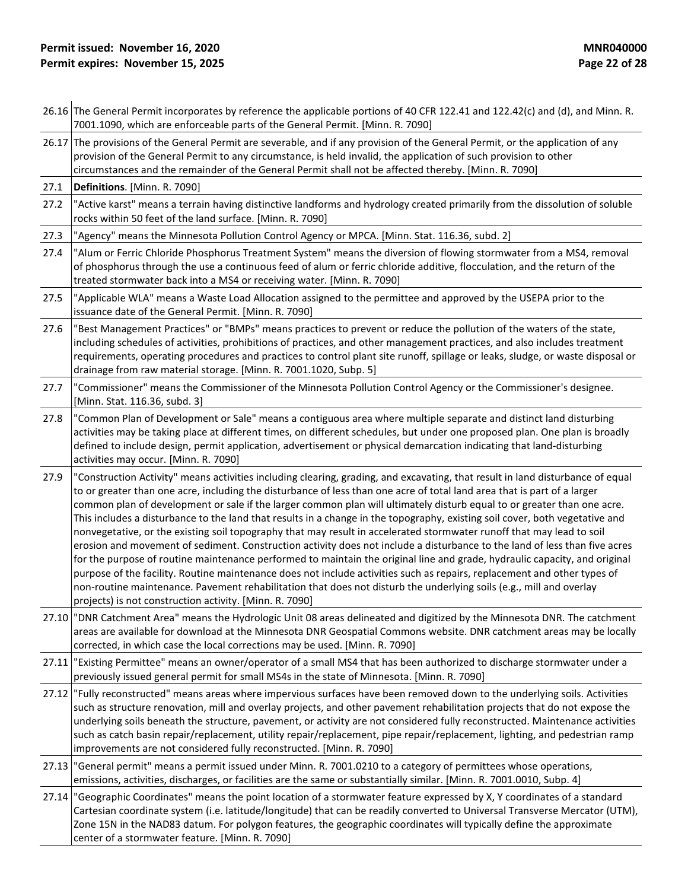|       | 26.16 The General Permit incorporates by reference the applicable portions of 40 CFR 122.41 and 122.42(c) and (d), and Minn. R.<br>7001.1090, which are enforceable parts of the General Permit. [Minn. R. 7090]                                                                                                                                                                                                                                                                                                                                                                                                                                                                                                                                                                                                                                                                                                                                                                                                                                                                                                                                                                                                         |  |  |
|-------|--------------------------------------------------------------------------------------------------------------------------------------------------------------------------------------------------------------------------------------------------------------------------------------------------------------------------------------------------------------------------------------------------------------------------------------------------------------------------------------------------------------------------------------------------------------------------------------------------------------------------------------------------------------------------------------------------------------------------------------------------------------------------------------------------------------------------------------------------------------------------------------------------------------------------------------------------------------------------------------------------------------------------------------------------------------------------------------------------------------------------------------------------------------------------------------------------------------------------|--|--|
|       | 26.17 The provisions of the General Permit are severable, and if any provision of the General Permit, or the application of any<br>provision of the General Permit to any circumstance, is held invalid, the application of such provision to other<br>circumstances and the remainder of the General Permit shall not be affected thereby. [Minn. R. 7090]                                                                                                                                                                                                                                                                                                                                                                                                                                                                                                                                                                                                                                                                                                                                                                                                                                                              |  |  |
| 27.1  | Definitions. [Minn. R. 7090]                                                                                                                                                                                                                                                                                                                                                                                                                                                                                                                                                                                                                                                                                                                                                                                                                                                                                                                                                                                                                                                                                                                                                                                             |  |  |
| 27.2  | "Active karst" means a terrain having distinctive landforms and hydrology created primarily from the dissolution of soluble<br>rocks within 50 feet of the land surface. [Minn. R. 7090]                                                                                                                                                                                                                                                                                                                                                                                                                                                                                                                                                                                                                                                                                                                                                                                                                                                                                                                                                                                                                                 |  |  |
| 27.3  | "Agency" means the Minnesota Pollution Control Agency or MPCA. [Minn. Stat. 116.36, subd. 2]                                                                                                                                                                                                                                                                                                                                                                                                                                                                                                                                                                                                                                                                                                                                                                                                                                                                                                                                                                                                                                                                                                                             |  |  |
| 27.4  | "Alum or Ferric Chloride Phosphorus Treatment System" means the diversion of flowing stormwater from a MS4, removal<br>of phosphorus through the use a continuous feed of alum or ferric chloride additive, flocculation, and the return of the<br>treated stormwater back into a MS4 or receiving water. [Minn. R. 7090]                                                                                                                                                                                                                                                                                                                                                                                                                                                                                                                                                                                                                                                                                                                                                                                                                                                                                                |  |  |
| 27.5  | "Applicable WLA" means a Waste Load Allocation assigned to the permittee and approved by the USEPA prior to the<br>issuance date of the General Permit. [Minn. R. 7090]                                                                                                                                                                                                                                                                                                                                                                                                                                                                                                                                                                                                                                                                                                                                                                                                                                                                                                                                                                                                                                                  |  |  |
| 27.6  | "Best Management Practices" or "BMPs" means practices to prevent or reduce the pollution of the waters of the state,<br>including schedules of activities, prohibitions of practices, and other management practices, and also includes treatment<br>requirements, operating procedures and practices to control plant site runoff, spillage or leaks, sludge, or waste disposal or<br>drainage from raw material storage. [Minn. R. 7001.1020, Subp. 5]                                                                                                                                                                                                                                                                                                                                                                                                                                                                                                                                                                                                                                                                                                                                                                 |  |  |
| 27.7  | "Commissioner" means the Commissioner of the Minnesota Pollution Control Agency or the Commissioner's designee.<br>[Minn. Stat. 116.36, subd. 3]                                                                                                                                                                                                                                                                                                                                                                                                                                                                                                                                                                                                                                                                                                                                                                                                                                                                                                                                                                                                                                                                         |  |  |
| 27.8  | "Common Plan of Development or Sale" means a contiguous area where multiple separate and distinct land disturbing<br>activities may be taking place at different times, on different schedules, but under one proposed plan. One plan is broadly<br>defined to include design, permit application, advertisement or physical demarcation indicating that land-disturbing<br>activities may occur. [Minn. R. 7090]                                                                                                                                                                                                                                                                                                                                                                                                                                                                                                                                                                                                                                                                                                                                                                                                        |  |  |
| 27.9  | "Construction Activity" means activities including clearing, grading, and excavating, that result in land disturbance of equal<br>to or greater than one acre, including the disturbance of less than one acre of total land area that is part of a larger<br>common plan of development or sale if the larger common plan will ultimately disturb equal to or greater than one acre.<br>This includes a disturbance to the land that results in a change in the topography, existing soil cover, both vegetative and<br>nonvegetative, or the existing soil topography that may result in accelerated stormwater runoff that may lead to soil<br>erosion and movement of sediment. Construction activity does not include a disturbance to the land of less than five acres<br>for the purpose of routine maintenance performed to maintain the original line and grade, hydraulic capacity, and original<br>purpose of the facility. Routine maintenance does not include activities such as repairs, replacement and other types of<br>non-routine maintenance. Pavement rehabilitation that does not disturb the underlying soils (e.g., mill and overlay<br>projects) is not construction activity. [Minn. R. 7090] |  |  |
| 27.10 | "DNR Catchment Area" means the Hydrologic Unit 08 areas delineated and digitized by the Minnesota DNR. The catchment<br>areas are available for download at the Minnesota DNR Geospatial Commons website. DNR catchment areas may be locally<br>corrected, in which case the local corrections may be used. [Minn. R. 7090]                                                                                                                                                                                                                                                                                                                                                                                                                                                                                                                                                                                                                                                                                                                                                                                                                                                                                              |  |  |
|       | 27.11 "Existing Permittee" means an owner/operator of a small MS4 that has been authorized to discharge stormwater under a<br>previously issued general permit for small MS4s in the state of Minnesota. [Minn. R. 7090]                                                                                                                                                                                                                                                                                                                                                                                                                                                                                                                                                                                                                                                                                                                                                                                                                                                                                                                                                                                                 |  |  |
|       | 27.12  "Fully reconstructed" means areas where impervious surfaces have been removed down to the underlying soils. Activities<br>such as structure renovation, mill and overlay projects, and other pavement rehabilitation projects that do not expose the<br>underlying soils beneath the structure, pavement, or activity are not considered fully reconstructed. Maintenance activities<br>such as catch basin repair/replacement, utility repair/replacement, pipe repair/replacement, lighting, and pedestrian ramp<br>improvements are not considered fully reconstructed. [Minn. R. 7090]                                                                                                                                                                                                                                                                                                                                                                                                                                                                                                                                                                                                                        |  |  |
| 27.13 | "General permit" means a permit issued under Minn. R. 7001.0210 to a category of permittees whose operations,<br>emissions, activities, discharges, or facilities are the same or substantially similar. [Minn. R. 7001.0010, Subp. 4]                                                                                                                                                                                                                                                                                                                                                                                                                                                                                                                                                                                                                                                                                                                                                                                                                                                                                                                                                                                   |  |  |
| 27.14 | "Geographic Coordinates" means the point location of a stormwater feature expressed by X, Y coordinates of a standard<br>Cartesian coordinate system (i.e. latitude/longitude) that can be readily converted to Universal Transverse Mercator (UTM),<br>Zone 15N in the NAD83 datum. For polygon features, the geographic coordinates will typically define the approximate<br>center of a stormwater feature. [Minn. R. 7090]                                                                                                                                                                                                                                                                                                                                                                                                                                                                                                                                                                                                                                                                                                                                                                                           |  |  |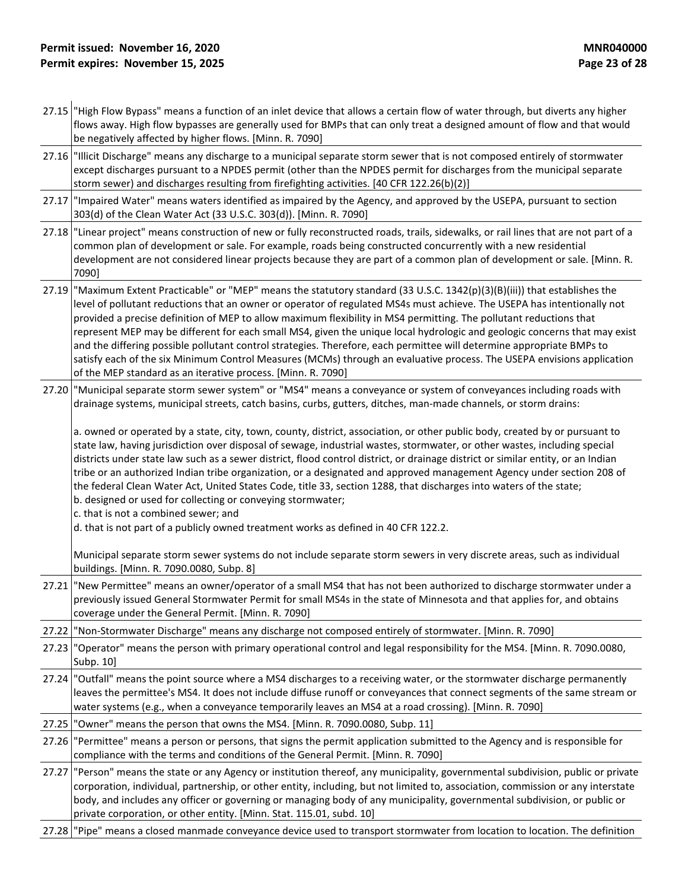- 27.15 "High Flow Bypass" means a function of an inlet device that allows a certain flow of water through, but diverts any higher flows away. High flow bypasses are generally used for BMPs that can only treat a designed amount of flow and that would be negatively affected by higher flows. [Minn. R. 7090]
- 27.16 "Illicit Discharge" means any discharge to a municipal separate storm sewer that is not composed entirely of stormwater except discharges pursuant to a NPDES permit (other than the NPDES permit for discharges from the municipal separate storm sewer) and discharges resulting from firefighting activities. [40 CFR 122.26(b)(2)]
- 27.17 "Impaired Water" means waters identified as impaired by the Agency, and approved by the USEPA, pursuant to section 303(d) of the Clean Water Act (33 U.S.C. 303(d)). [Minn. R. 7090]
- 27.18 "Linear project" means construction of new or fully reconstructed roads, trails, sidewalks, or rail lines that are not part of a common plan of development or sale. For example, roads being constructed concurrently with a new residential development are not considered linear projects because they are part of a common plan of development or sale. [Minn. R. 7090]
- 27.19 "Maximum Extent Practicable" or "MEP" means the statutory standard (33 U.S.C. 1342(p)(3)(B)(iii)) that establishes the level of pollutant reductions that an owner or operator of regulated MS4s must achieve. The USEPA has intentionally not provided a precise definition of MEP to allow maximum flexibility in MS4 permitting. The pollutant reductions that represent MEP may be different for each small MS4, given the unique local hydrologic and geologic concerns that may exist and the differing possible pollutant control strategies. Therefore, each permittee will determine appropriate BMPs to satisfy each of the six Minimum Control Measures (MCMs) through an evaluative process. The USEPA envisions application of the MEP standard as an iterative process. [Minn. R. 7090]
- 27.20 "Municipal separate storm sewer system" or "MS4" means a conveyance or system of conveyances including roads with drainage systems, municipal streets, catch basins, curbs, gutters, ditches, man-made channels, or storm drains:

a. owned or operated by a state, city, town, county, district, association, or other public body, created by or pursuant to state law, having jurisdiction over disposal of sewage, industrial wastes, stormwater, or other wastes, including special districts under state law such as a sewer district, flood control district, or drainage district or similar entity, or an Indian tribe or an authorized Indian tribe organization, or a designated and approved management Agency under section 208 of the federal Clean Water Act, United States Code, title 33, section 1288, that discharges into waters of the state; b. designed or used for collecting or conveying stormwater;

c. that is not a combined sewer; and

d. that is not part of a publicly owned treatment works as defined in 40 CFR 122.2.

Municipal separate storm sewer systems do not include separate storm sewers in very discrete areas, such as individual buildings. [Minn. R. 7090.0080, Subp. 8]

27.21 "New Permittee" means an owner/operator of a small MS4 that has not been authorized to discharge stormwater under a previously issued General Stormwater Permit for small MS4s in the state of Minnesota and that applies for, and obtains coverage under the General Permit. [Minn. R. 7090]

27.22 "Non-Stormwater Discharge" means any discharge not composed entirely of stormwater. [Minn. R. 7090]

- 27.23 "Operator" means the person with primary operational control and legal responsibility for the MS4. [Minn. R. 7090.0080, Subp. 10]
- 27.24 "Outfall" means the point source where a MS4 discharges to a receiving water, or the stormwater discharge permanently leaves the permittee's MS4. It does not include diffuse runoff or conveyances that connect segments of the same stream or water systems (e.g., when a conveyance temporarily leaves an MS4 at a road crossing). [Minn. R. 7090]
- 27.25 "Owner" means the person that owns the MS4. [Minn. R. 7090.0080, Subp. 11]
- 27.26 "Permittee" means a person or persons, that signs the permit application submitted to the Agency and is responsible for compliance with the terms and conditions of the General Permit. [Minn. R. 7090]
- 27.27 "Person" means the state or any Agency or institution thereof, any municipality, governmental subdivision, public or private corporation, individual, partnership, or other entity, including, but not limited to, association, commission or any interstate body, and includes any officer or governing or managing body of any municipality, governmental subdivision, or public or private corporation, or other entity. [Minn. Stat. 115.01, subd. 10]
- 27.28 "Pipe" means a closed manmade conveyance device used to transport stormwater from location to location. The definition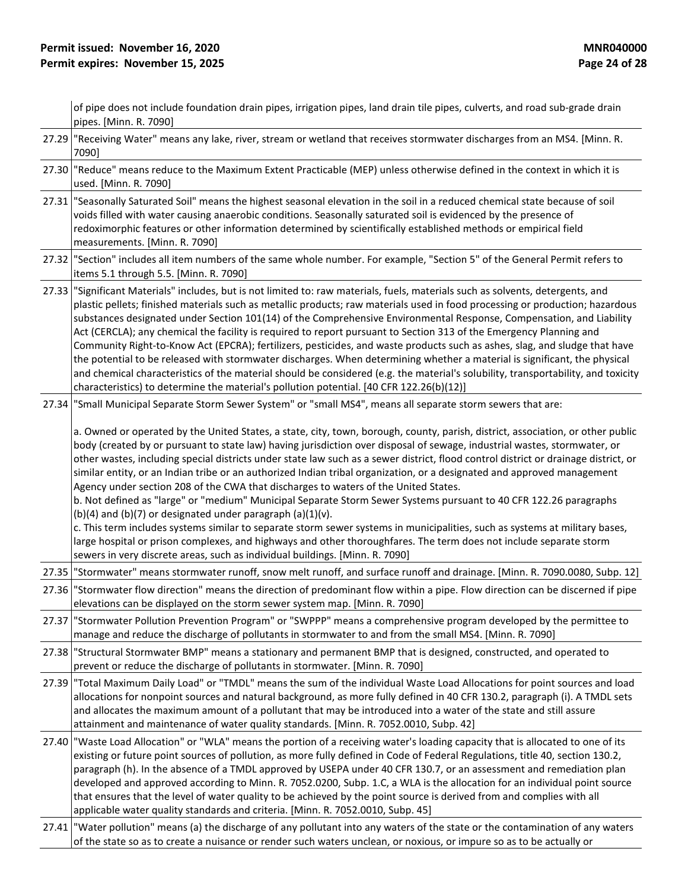|       | of pipe does not include foundation drain pipes, irrigation pipes, land drain tile pipes, culverts, and road sub-grade drain<br>pipes. [Minn. R. 7090]                                                                                                                                                                                                                                                                                                                                                                                                                                                                                                                                                                                                                                                                                                                                                                                                                                                                                                                                                                                           |
|-------|--------------------------------------------------------------------------------------------------------------------------------------------------------------------------------------------------------------------------------------------------------------------------------------------------------------------------------------------------------------------------------------------------------------------------------------------------------------------------------------------------------------------------------------------------------------------------------------------------------------------------------------------------------------------------------------------------------------------------------------------------------------------------------------------------------------------------------------------------------------------------------------------------------------------------------------------------------------------------------------------------------------------------------------------------------------------------------------------------------------------------------------------------|
|       | 27.29 "Receiving Water" means any lake, river, stream or wetland that receives stormwater discharges from an MS4. [Minn. R.<br>7090]                                                                                                                                                                                                                                                                                                                                                                                                                                                                                                                                                                                                                                                                                                                                                                                                                                                                                                                                                                                                             |
|       | 27.30 "Reduce" means reduce to the Maximum Extent Practicable (MEP) unless otherwise defined in the context in which it is<br>used. [Minn. R. 7090]                                                                                                                                                                                                                                                                                                                                                                                                                                                                                                                                                                                                                                                                                                                                                                                                                                                                                                                                                                                              |
| 27.31 | "Seasonally Saturated Soil" means the highest seasonal elevation in the soil in a reduced chemical state because of soil<br>voids filled with water causing anaerobic conditions. Seasonally saturated soil is evidenced by the presence of<br>redoximorphic features or other information determined by scientifically established methods or empirical field<br>measurements. [Minn. R. 7090]                                                                                                                                                                                                                                                                                                                                                                                                                                                                                                                                                                                                                                                                                                                                                  |
| 27.32 | "Section" includes all item numbers of the same whole number. For example, "Section 5" of the General Permit refers to<br>items 5.1 through 5.5. [Minn. R. 7090]                                                                                                                                                                                                                                                                                                                                                                                                                                                                                                                                                                                                                                                                                                                                                                                                                                                                                                                                                                                 |
| 27.33 | "Significant Materials" includes, but is not limited to: raw materials, fuels, materials such as solvents, detergents, and<br>plastic pellets; finished materials such as metallic products; raw materials used in food processing or production; hazardous<br>substances designated under Section 101(14) of the Comprehensive Environmental Response, Compensation, and Liability<br>Act (CERCLA); any chemical the facility is required to report pursuant to Section 313 of the Emergency Planning and<br>Community Right-to-Know Act (EPCRA); fertilizers, pesticides, and waste products such as ashes, slag, and sludge that have<br>the potential to be released with stormwater discharges. When determining whether a material is significant, the physical<br>and chemical characteristics of the material should be considered (e.g. the material's solubility, transportability, and toxicity<br>characteristics) to determine the material's pollution potential. [40 CFR 122.26(b)(12)]                                                                                                                                           |
| 27.34 | "Small Municipal Separate Storm Sewer System" or "small MS4", means all separate storm sewers that are:                                                                                                                                                                                                                                                                                                                                                                                                                                                                                                                                                                                                                                                                                                                                                                                                                                                                                                                                                                                                                                          |
|       | a. Owned or operated by the United States, a state, city, town, borough, county, parish, district, association, or other public<br>body (created by or pursuant to state law) having jurisdiction over disposal of sewage, industrial wastes, stormwater, or<br>other wastes, including special districts under state law such as a sewer district, flood control district or drainage district, or<br>similar entity, or an Indian tribe or an authorized Indian tribal organization, or a designated and approved management<br>Agency under section 208 of the CWA that discharges to waters of the United States.<br>b. Not defined as "large" or "medium" Municipal Separate Storm Sewer Systems pursuant to 40 CFR 122.26 paragraphs<br>(b)(4) and (b)(7) or designated under paragraph $(a)(1)(v)$ .<br>c. This term includes systems similar to separate storm sewer systems in municipalities, such as systems at military bases,<br>large hospital or prison complexes, and highways and other thoroughfares. The term does not include separate storm<br>sewers in very discrete areas, such as individual buildings. [Minn. R. 7090] |
| 27.35 | "Stormwater" means stormwater runoff, snow melt runoff, and surface runoff and drainage. [Minn. R. 7090.0080, Subp. 12]                                                                                                                                                                                                                                                                                                                                                                                                                                                                                                                                                                                                                                                                                                                                                                                                                                                                                                                                                                                                                          |
|       | 27.36 "Stormwater flow direction" means the direction of predominant flow within a pipe. Flow direction can be discerned if pipe<br>elevations can be displayed on the storm sewer system map. [Minn. R. 7090]                                                                                                                                                                                                                                                                                                                                                                                                                                                                                                                                                                                                                                                                                                                                                                                                                                                                                                                                   |
|       | 27.37   "Stormwater Pollution Prevention Program" or "SWPPP" means a comprehensive program developed by the permittee to<br>manage and reduce the discharge of pollutants in stormwater to and from the small MS4. [Minn. R. 7090]                                                                                                                                                                                                                                                                                                                                                                                                                                                                                                                                                                                                                                                                                                                                                                                                                                                                                                               |
| 27.38 | "Structural Stormwater BMP" means a stationary and permanent BMP that is designed, constructed, and operated to<br>prevent or reduce the discharge of pollutants in stormwater. [Minn. R. 7090]                                                                                                                                                                                                                                                                                                                                                                                                                                                                                                                                                                                                                                                                                                                                                                                                                                                                                                                                                  |
|       | 27.39 Total Maximum Daily Load" or "TMDL" means the sum of the individual Waste Load Allocations for point sources and load<br>allocations for nonpoint sources and natural background, as more fully defined in 40 CFR 130.2, paragraph (i). A TMDL sets<br>and allocates the maximum amount of a pollutant that may be introduced into a water of the state and still assure<br>attainment and maintenance of water quality standards. [Minn. R. 7052.0010, Subp. 42]                                                                                                                                                                                                                                                                                                                                                                                                                                                                                                                                                                                                                                                                          |
|       | 27.40 Waste Load Allocation" or "WLA" means the portion of a receiving water's loading capacity that is allocated to one of its<br>existing or future point sources of pollution, as more fully defined in Code of Federal Regulations, title 40, section 130.2,<br>paragraph (h). In the absence of a TMDL approved by USEPA under 40 CFR 130.7, or an assessment and remediation plan<br>developed and approved according to Minn. R. 7052.0200, Subp. 1.C, a WLA is the allocation for an individual point source<br>that ensures that the level of water quality to be achieved by the point source is derived from and complies with all<br>applicable water quality standards and criteria. [Minn. R. 7052.0010, Subp. 45]                                                                                                                                                                                                                                                                                                                                                                                                                 |
| 27.41 | "Water pollution" means (a) the discharge of any pollutant into any waters of the state or the contamination of any waters<br>of the state so as to create a nuisance or render such waters unclean, or noxious, or impure so as to be actually or                                                                                                                                                                                                                                                                                                                                                                                                                                                                                                                                                                                                                                                                                                                                                                                                                                                                                               |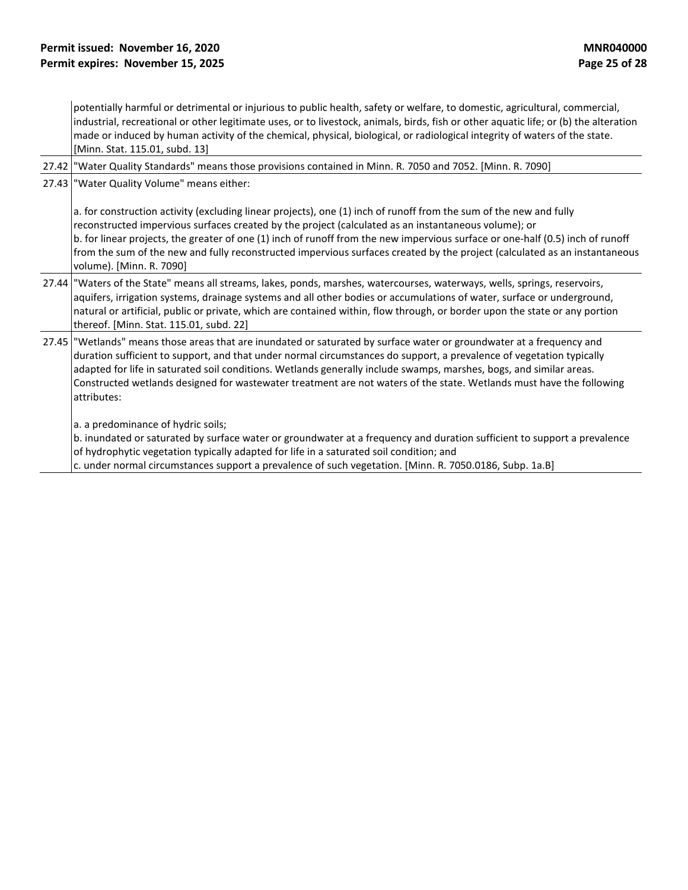potentially harmful or detrimental or injurious to public health, safety or welfare, to domestic, agricultural, commercial, industrial, recreational or other legitimate uses, or to livestock, animals, birds, fish or other aquatic life; or (b) the alteration made or induced by human activity of the chemical, physical, biological, or radiological integrity of waters of the state. [Minn. Stat. 115.01, subd. 13]

27.42 "Water Quality Standards" means those provisions contained in Minn. R. 7050 and 7052. [Minn. R. 7090]

27.43 "Water Quality Volume" means either:

a. for construction activity (excluding linear projects), one (1) inch of runoff from the sum of the new and fully reconstructed impervious surfaces created by the project (calculated as an instantaneous volume); or b. for linear projects, the greater of one (1) inch of runoff from the new impervious surface or one-half (0.5) inch of runoff from the sum of the new and fully reconstructed impervious surfaces created by the project (calculated as an instantaneous volume). [Minn. R. 7090]

- 27.44 "Waters of the State" means all streams, lakes, ponds, marshes, watercourses, waterways, wells, springs, reservoirs, aquifers, irrigation systems, drainage systems and all other bodies or accumulations of water, surface or underground, natural or artificial, public or private, which are contained within, flow through, or border upon the state or any portion thereof. [Minn. Stat. 115.01, subd. 22]
- 27.45 "Wetlands" means those areas that are inundated or saturated by surface water or groundwater at a frequency and duration sufficient to support, and that under normal circumstances do support, a prevalence of vegetation typically adapted for life in saturated soil conditions. Wetlands generally include swamps, marshes, bogs, and similar areas. Constructed wetlands designed for wastewater treatment are not waters of the state. Wetlands must have the following attributes:

a. a predominance of hydric soils;

b. inundated or saturated by surface water or groundwater at a frequency and duration sufficient to support a prevalence of hydrophytic vegetation typically adapted for life in a saturated soil condition; and

c. under normal circumstances support a prevalence of such vegetation. [Minn. R. 7050.0186, Subp. 1a.B]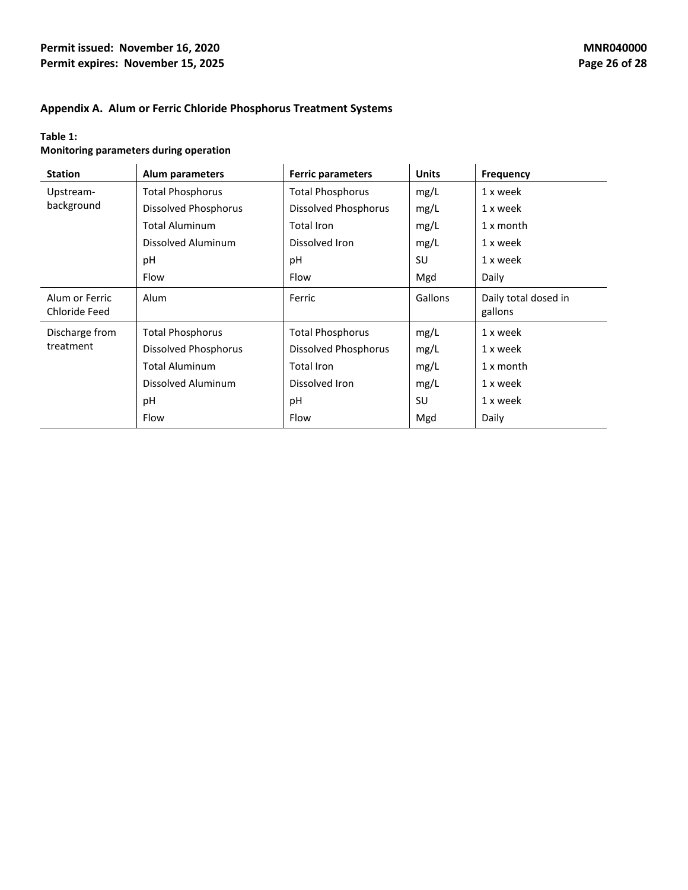#### **Permit issued: November 16, 2020 MNR040000 MNR040000 Permit expires: November 15, 2025 Page 26** of 28

## **Appendix A. Alum or Ferric Chloride Phosphorus Treatment Systems**

# **Table 1:**

# **Monitoring parameters during operation**

| <b>Station</b>                  | Alum parameters             | <b>Ferric parameters</b>    | <b>Units</b> | Frequency                       |
|---------------------------------|-----------------------------|-----------------------------|--------------|---------------------------------|
| Upstream-                       | <b>Total Phosphorus</b>     | <b>Total Phosphorus</b>     | mg/L         | 1 x week                        |
| background                      | <b>Dissolved Phosphorus</b> | <b>Dissolved Phosphorus</b> | mg/L         | 1 x week                        |
|                                 | <b>Total Aluminum</b>       | Total Iron                  | mg/L         | $1x$ month                      |
|                                 | Dissolved Aluminum          | Dissolved Iron              | mg/L         | 1 x week                        |
|                                 | рH                          | рH                          | SU           | 1 x week                        |
|                                 | Flow                        | Flow                        | Mgd          | Daily                           |
| Alum or Ferric<br>Chloride Feed | Alum                        | Ferric                      | Gallons      | Daily total dosed in<br>gallons |
| Discharge from                  | <b>Total Phosphorus</b>     | <b>Total Phosphorus</b>     | mg/L         | 1 x week                        |
| treatment                       | Dissolved Phosphorus        | Dissolved Phosphorus        | mg/L         | 1 x week                        |
|                                 | <b>Total Aluminum</b>       | Total Iron                  | mg/L         | $1x$ month                      |
|                                 | Dissolved Aluminum          | Dissolved Iron              | mg/L         | 1 x week                        |
|                                 | pH                          | рH                          | SU           | 1 x week                        |
|                                 | Flow                        | Flow                        | Mgd          | Daily                           |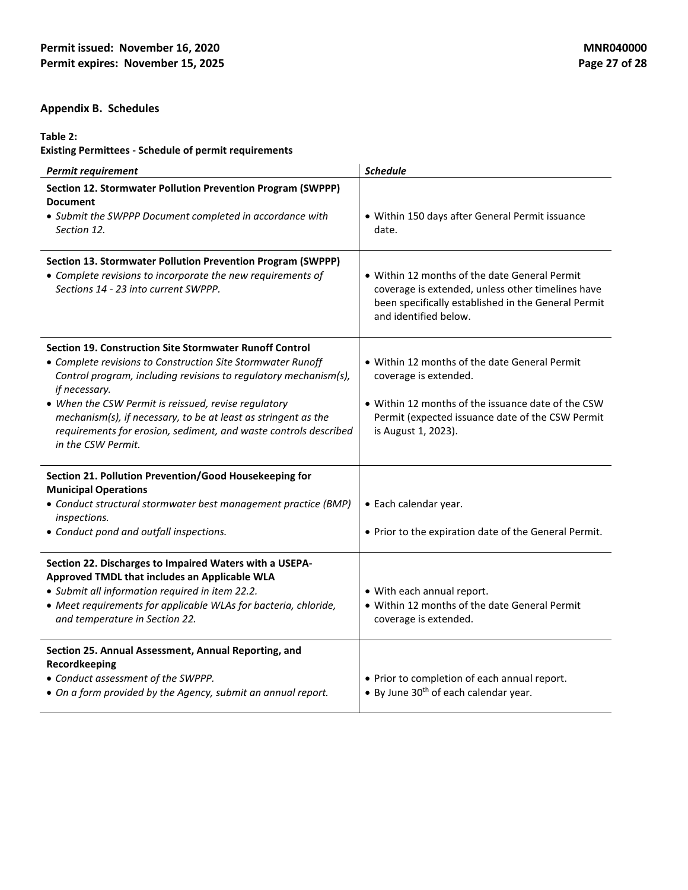# **Appendix B. Schedules**

#### **Table 2:**

**Existing Permittees - Schedule of permit requirements**

| <b>Permit requirement</b>                                                                                                                        | <b>Schedule</b>                                                                                                                                                                    |
|--------------------------------------------------------------------------------------------------------------------------------------------------|------------------------------------------------------------------------------------------------------------------------------------------------------------------------------------|
| Section 12. Stormwater Pollution Prevention Program (SWPPP)<br><b>Document</b><br>• Submit the SWPPP Document completed in accordance with       | · Within 150 days after General Permit issuance                                                                                                                                    |
| Section 12.                                                                                                                                      | date.                                                                                                                                                                              |
| Section 13. Stormwater Pollution Prevention Program (SWPPP)                                                                                      |                                                                                                                                                                                    |
| • Complete revisions to incorporate the new requirements of<br>Sections 14 - 23 into current SWPPP.                                              | • Within 12 months of the date General Permit<br>coverage is extended, unless other timelines have<br>been specifically established in the General Permit<br>and identified below. |
| <b>Section 19. Construction Site Stormwater Runoff Control</b>                                                                                   |                                                                                                                                                                                    |
| • Complete revisions to Construction Site Stormwater Runoff<br>Control program, including revisions to regulatory mechanism(s),<br>if necessary. | • Within 12 months of the date General Permit<br>coverage is extended.                                                                                                             |
| • When the CSW Permit is reissued, revise regulatory<br>mechanism(s), if necessary, to be at least as stringent as the                           | • Within 12 months of the issuance date of the CSW<br>Permit (expected issuance date of the CSW Permit                                                                             |
| requirements for erosion, sediment, and waste controls described<br>in the CSW Permit.                                                           | is August 1, 2023).                                                                                                                                                                |
| Section 21. Pollution Prevention/Good Housekeeping for<br><b>Municipal Operations</b>                                                            |                                                                                                                                                                                    |
| • Conduct structural stormwater best management practice (BMP)<br>inspections.                                                                   | • Each calendar year.                                                                                                                                                              |
| • Conduct pond and outfall inspections.                                                                                                          | . Prior to the expiration date of the General Permit.                                                                                                                              |
| Section 22. Discharges to Impaired Waters with a USEPA-<br>Approved TMDL that includes an Applicable WLA                                         |                                                                                                                                                                                    |
| • Submit all information required in item 22.2.                                                                                                  | • With each annual report.                                                                                                                                                         |
| • Meet requirements for applicable WLAs for bacteria, chloride,<br>and temperature in Section 22.                                                | • Within 12 months of the date General Permit<br>coverage is extended.                                                                                                             |
| Section 25. Annual Assessment, Annual Reporting, and<br>Recordkeeping                                                                            |                                                                                                                                                                                    |
| • Conduct assessment of the SWPPP.<br>• On a form provided by the Agency, submit an annual report.                                               | • Prior to completion of each annual report.<br>• By June 30 <sup>th</sup> of each calendar year.                                                                                  |
|                                                                                                                                                  |                                                                                                                                                                                    |